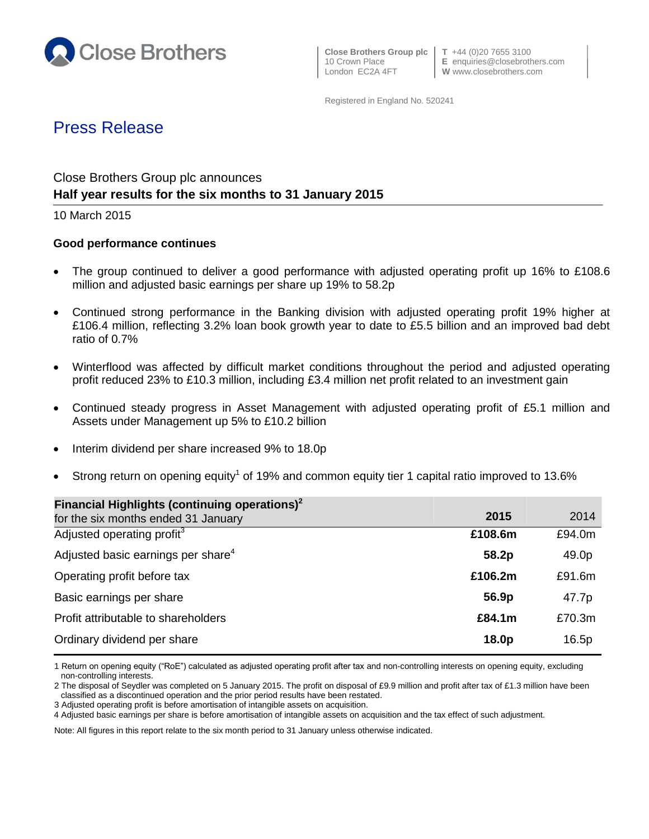

 **Close Brothers Group plc T** +44 (0)20 7655 3100 London EC2A 4FT **W** www.closebrothers.com

10 Crown Place **E** enquiries@closebrothers.com

Registered in England No. 520241

# Press Release

## Close Brothers Group plc announces **Half year results for the six months to 31 January 2015**

10 March 2015

#### **Good performance continues**

- The group continued to deliver a good performance with adjusted operating profit up 16% to £108.6 million and adjusted basic earnings per share up 19% to 58.2p
- Continued strong performance in the Banking division with adjusted operating profit 19% higher at £106.4 million, reflecting 3.2% loan book growth year to date to £5.5 billion and an improved bad debt ratio of 0.7%
- Winterflood was affected by difficult market conditions throughout the period and adjusted operating profit reduced 23% to £10.3 million, including £3.4 million net profit related to an investment gain
- Continued steady progress in Asset Management with adjusted operating profit of £5.1 million and Assets under Management up 5% to £10.2 billion
- Interim dividend per share increased 9% to 18.0p
- Strong return on opening equity<sup>1</sup> of 19% and common equity tier 1 capital ratio improved to 13.6%

| Financial Highlights (continuing operations) $2$ |         |        |
|--------------------------------------------------|---------|--------|
| for the six months ended 31 January              | 2015    | 2014   |
| Adjusted operating profit <sup>3</sup>           | £108.6m | £94.0m |
| Adjusted basic earnings per share <sup>4</sup>   | 58.2p   | 49.0p  |
| Operating profit before tax                      | £106.2m | £91.6m |
| Basic earnings per share                         | 56.9p   | 47.7p  |
| Profit attributable to shareholders              | £84.1m  | £70.3m |
| Ordinary dividend per share                      | 18.0p   | 16.5p  |

<sup>1</sup> Return on opening equity ("RoE") calculated as adjusted operating profit after tax and non-controlling interests on opening equity, excluding non-controlling interests.

Note: All figures in this report relate to the six month period to 31 January unless otherwise indicated.

<sup>2</sup> The disposal of Seydler was completed on 5 January 2015. The profit on disposal of £9.9 million and profit after tax of £1.3 million have been classified as a discontinued operation and the prior period results have been restated.

<sup>3</sup> Adjusted operating profit is before amortisation of intangible assets on acquisition.

<sup>4</sup> Adjusted basic earnings per share is before amortisation of intangible assets on acquisition and the tax effect of such adjustment.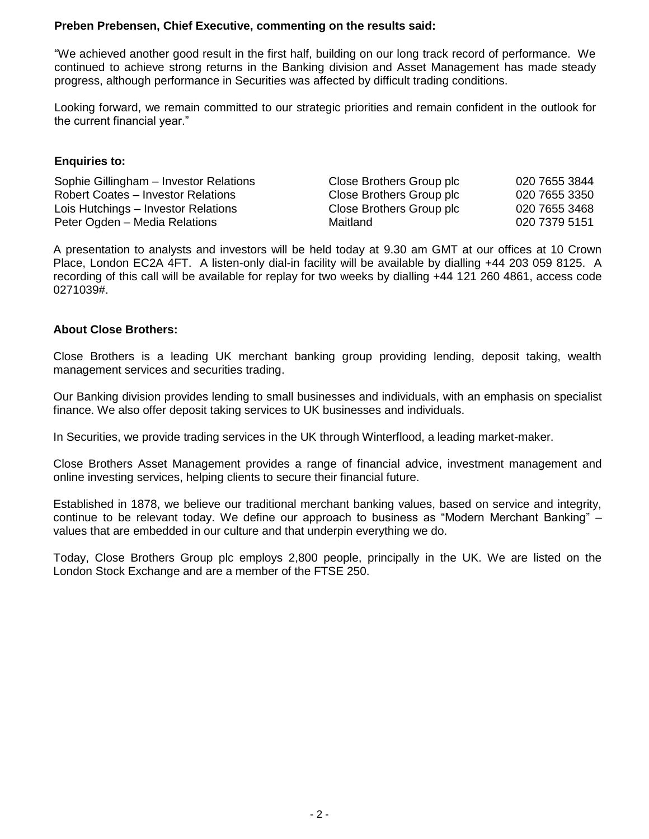### **Preben Prebensen, Chief Executive, commenting on the results said:**

"We achieved another good result in the first half, building on our long track record of performance. We continued to achieve strong returns in the Banking division and Asset Management has made steady progress, although performance in Securities was affected by difficult trading conditions.

Looking forward, we remain committed to our strategic priorities and remain confident in the outlook for the current financial year."

#### **Enquiries to:**

| Sophie Gillingham - Investor Relations | Close Brothers Group plc | 020 7655 3844 |
|----------------------------------------|--------------------------|---------------|
| Robert Coates - Investor Relations     | Close Brothers Group plc | 020 7655 3350 |
| Lois Hutchings - Investor Relations    | Close Brothers Group plc | 020 7655 3468 |
| Peter Ogden - Media Relations          | Maitland                 | 020 7379 5151 |

A presentation to analysts and investors will be held today at 9.30 am GMT at our offices at 10 Crown Place, London EC2A 4FT. A listen-only dial-in facility will be available by dialling +44 203 059 8125. A recording of this call will be available for replay for two weeks by dialling +44 121 260 4861, access code 0271039#.

### **About Close Brothers:**

Close Brothers is a leading UK merchant banking group providing lending, deposit taking, wealth management services and securities trading.

Our Banking division provides lending to small businesses and individuals, with an emphasis on specialist finance. We also offer deposit taking services to UK businesses and individuals.

In Securities, we provide trading services in the UK through Winterflood, a leading market-maker.

Close Brothers Asset Management provides a range of financial advice, investment management and online investing services, helping clients to secure their financial future.

Established in 1878, we believe our traditional merchant banking values, based on service and integrity, continue to be relevant today. We define our approach to business as "Modern Merchant Banking" – values that are embedded in our culture and that underpin everything we do.

Today, Close Brothers Group plc employs 2,800 people, principally in the UK. We are listed on the London Stock Exchange and are a member of the FTSE 250.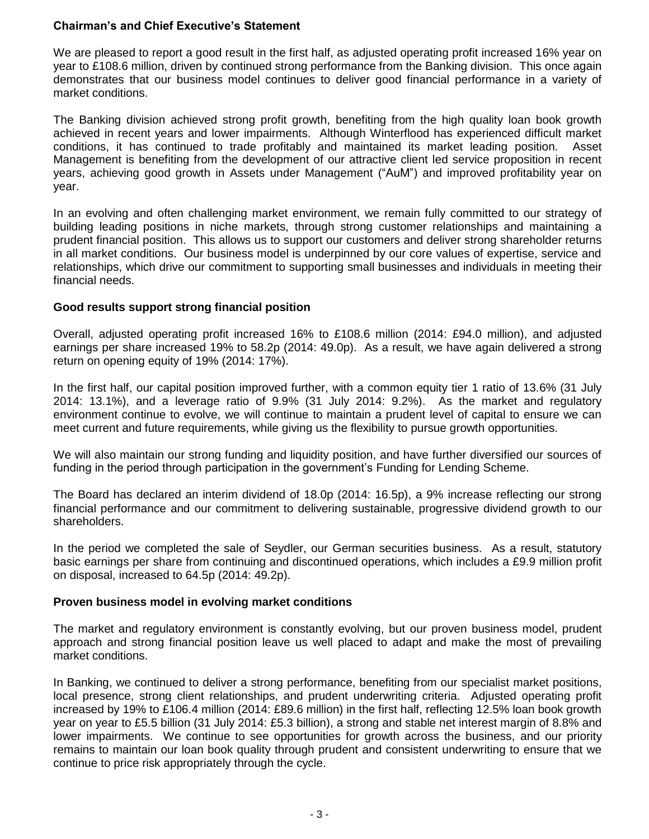## **Chairman's and Chief Executive's Statement**

We are pleased to report a good result in the first half, as adjusted operating profit increased 16% year on year to £108.6 million, driven by continued strong performance from the Banking division. This once again demonstrates that our business model continues to deliver good financial performance in a variety of market conditions.

The Banking division achieved strong profit growth, benefiting from the high quality loan book growth achieved in recent years and lower impairments. Although Winterflood has experienced difficult market conditions, it has continued to trade profitably and maintained its market leading position. Asset Management is benefiting from the development of our attractive client led service proposition in recent years, achieving good growth in Assets under Management ("AuM") and improved profitability year on year.

In an evolving and often challenging market environment, we remain fully committed to our strategy of building leading positions in niche markets, through strong customer relationships and maintaining a prudent financial position. This allows us to support our customers and deliver strong shareholder returns in all market conditions. Our business model is underpinned by our core values of expertise, service and relationships, which drive our commitment to supporting small businesses and individuals in meeting their financial needs.

### **Good results support strong financial position**

Overall, adjusted operating profit increased 16% to £108.6 million (2014: £94.0 million), and adjusted earnings per share increased 19% to 58.2p (2014: 49.0p). As a result, we have again delivered a strong return on opening equity of 19% (2014: 17%).

In the first half, our capital position improved further, with a common equity tier 1 ratio of 13.6% (31 July 2014: 13.1%), and a leverage ratio of 9.9% (31 July 2014: 9.2%). As the market and regulatory environment continue to evolve, we will continue to maintain a prudent level of capital to ensure we can meet current and future requirements, while giving us the flexibility to pursue growth opportunities.

We will also maintain our strong funding and liquidity position, and have further diversified our sources of funding in the period through participation in the government's Funding for Lending Scheme.

The Board has declared an interim dividend of 18.0p (2014: 16.5p), a 9% increase reflecting our strong financial performance and our commitment to delivering sustainable, progressive dividend growth to our shareholders.

In the period we completed the sale of Seydler, our German securities business. As a result, statutory basic earnings per share from continuing and discontinued operations, which includes a £9.9 million profit on disposal, increased to 64.5p (2014: 49.2p).

## **Proven business model in evolving market conditions**

The market and regulatory environment is constantly evolving, but our proven business model, prudent approach and strong financial position leave us well placed to adapt and make the most of prevailing market conditions.

In Banking, we continued to deliver a strong performance, benefiting from our specialist market positions, local presence, strong client relationships, and prudent underwriting criteria. Adjusted operating profit increased by 19% to £106.4 million (2014: £89.6 million) in the first half, reflecting 12.5% loan book growth year on year to £5.5 billion (31 July 2014: £5.3 billion), a strong and stable net interest margin of 8.8% and lower impairments. We continue to see opportunities for growth across the business, and our priority remains to maintain our loan book quality through prudent and consistent underwriting to ensure that we continue to price risk appropriately through the cycle.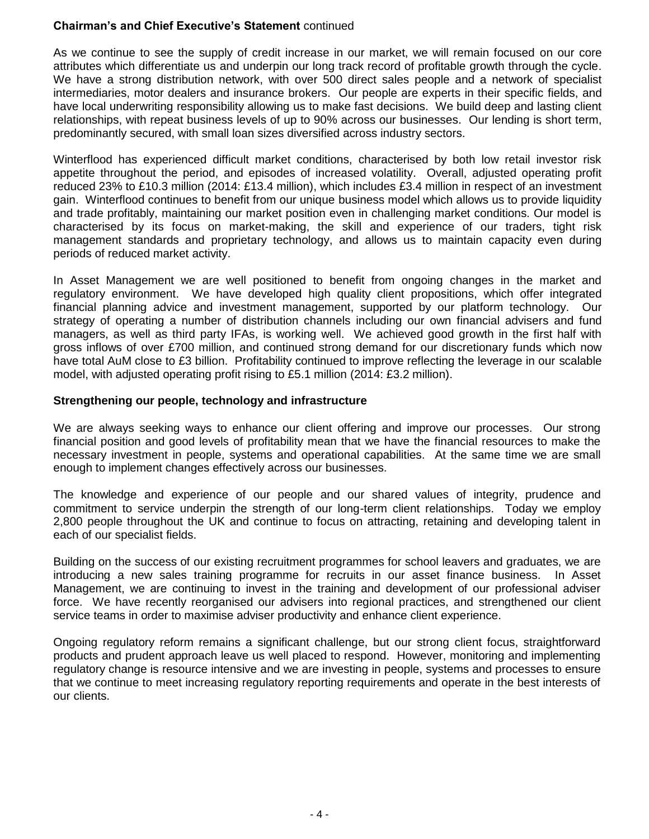## **Chairman's and Chief Executive's Statement** continued

As we continue to see the supply of credit increase in our market, we will remain focused on our core attributes which differentiate us and underpin our long track record of profitable growth through the cycle. We have a strong distribution network, with over 500 direct sales people and a network of specialist intermediaries, motor dealers and insurance brokers. Our people are experts in their specific fields, and have local underwriting responsibility allowing us to make fast decisions. We build deep and lasting client relationships, with repeat business levels of up to 90% across our businesses. Our lending is short term, predominantly secured, with small loan sizes diversified across industry sectors.

Winterflood has experienced difficult market conditions, characterised by both low retail investor risk appetite throughout the period, and episodes of increased volatility. Overall, adjusted operating profit reduced 23% to £10.3 million (2014: £13.4 million), which includes £3.4 million in respect of an investment gain. Winterflood continues to benefit from our unique business model which allows us to provide liquidity and trade profitably, maintaining our market position even in challenging market conditions. Our model is characterised by its focus on market-making, the skill and experience of our traders, tight risk management standards and proprietary technology, and allows us to maintain capacity even during periods of reduced market activity.

In Asset Management we are well positioned to benefit from ongoing changes in the market and regulatory environment. We have developed high quality client propositions, which offer integrated financial planning advice and investment management, supported by our platform technology. Our strategy of operating a number of distribution channels including our own financial advisers and fund managers, as well as third party IFAs, is working well. We achieved good growth in the first half with gross inflows of over £700 million, and continued strong demand for our discretionary funds which now have total AuM close to £3 billion. Profitability continued to improve reflecting the leverage in our scalable model, with adjusted operating profit rising to £5.1 million (2014: £3.2 million).

## **Strengthening our people, technology and infrastructure**

We are always seeking ways to enhance our client offering and improve our processes. Our strong financial position and good levels of profitability mean that we have the financial resources to make the necessary investment in people, systems and operational capabilities. At the same time we are small enough to implement changes effectively across our businesses.

The knowledge and experience of our people and our shared values of integrity, prudence and commitment to service underpin the strength of our long-term client relationships. Today we employ 2,800 people throughout the UK and continue to focus on attracting, retaining and developing talent in each of our specialist fields.

Building on the success of our existing recruitment programmes for school leavers and graduates, we are introducing a new sales training programme for recruits in our asset finance business. In Asset Management, we are continuing to invest in the training and development of our professional adviser force. We have recently reorganised our advisers into regional practices, and strengthened our client service teams in order to maximise adviser productivity and enhance client experience.

Ongoing regulatory reform remains a significant challenge, but our strong client focus, straightforward products and prudent approach leave us well placed to respond. However, monitoring and implementing regulatory change is resource intensive and we are investing in people, systems and processes to ensure that we continue to meet increasing regulatory reporting requirements and operate in the best interests of our clients.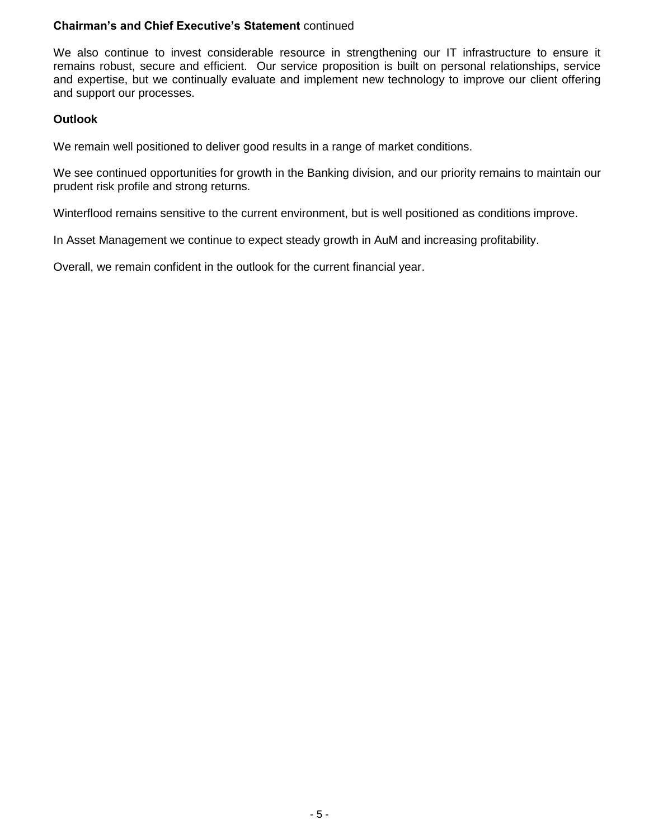## **Chairman's and Chief Executive's Statement** continued

We also continue to invest considerable resource in strengthening our IT infrastructure to ensure it remains robust, secure and efficient. Our service proposition is built on personal relationships, service and expertise, but we continually evaluate and implement new technology to improve our client offering and support our processes.

## **Outlook**

We remain well positioned to deliver good results in a range of market conditions.

We see continued opportunities for growth in the Banking division, and our priority remains to maintain our prudent risk profile and strong returns.

Winterflood remains sensitive to the current environment, but is well positioned as conditions improve.

In Asset Management we continue to expect steady growth in AuM and increasing profitability.

Overall, we remain confident in the outlook for the current financial year.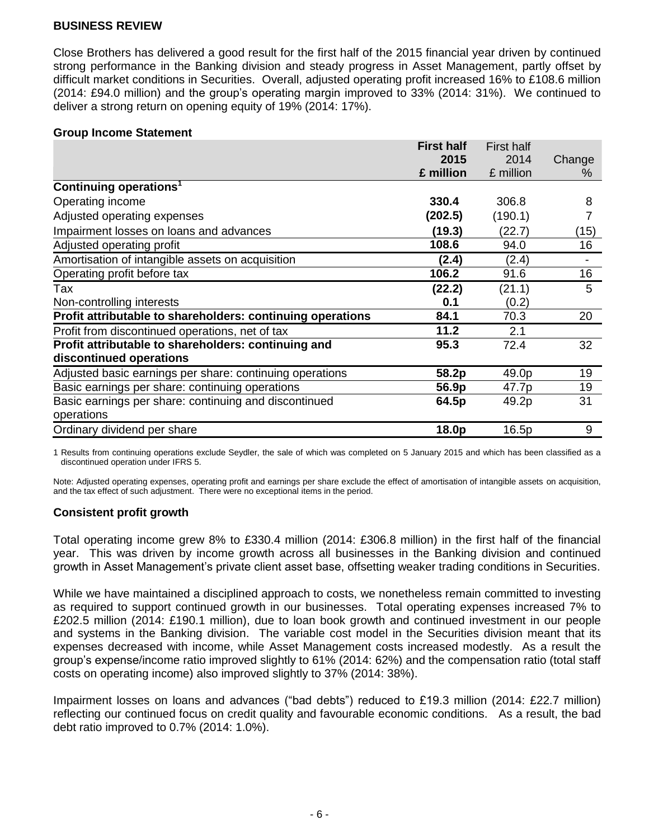Close Brothers has delivered a good result for the first half of the 2015 financial year driven by continued strong performance in the Banking division and steady progress in Asset Management, partly offset by difficult market conditions in Securities. Overall, adjusted operating profit increased 16% to £108.6 million (2014: £94.0 million) and the group's operating margin improved to 33% (2014: 31%). We continued to deliver a strong return on opening equity of 19% (2014: 17%).

#### **Group Income Statement**

|                                                            | <b>First half</b> | <b>First half</b> |        |
|------------------------------------------------------------|-------------------|-------------------|--------|
|                                                            | 2015              | 2014              | Change |
|                                                            | £ million         | £ million         | $\%$   |
| Continuing operations <sup>1</sup>                         |                   |                   |        |
| Operating income                                           | 330.4             | 306.8             | 8      |
| Adjusted operating expenses                                | (202.5)           | (190.1)           |        |
| Impairment losses on loans and advances                    | (19.3)            | (22.7)            | (15)   |
| Adjusted operating profit                                  | 108.6             | 94.0              | 16     |
| Amortisation of intangible assets on acquisition           | (2.4)             | (2.4)             |        |
| Operating profit before tax                                | 106.2             | 91.6              | 16     |
| Tax                                                        | (22.2)            | (21.1)            | 5      |
| Non-controlling interests                                  | 0.1               | (0.2)             |        |
| Profit attributable to shareholders: continuing operations | 84.1              | 70.3              | 20     |
| Profit from discontinued operations, net of tax            | 11.2              | 2.1               |        |
| Profit attributable to shareholders: continuing and        | 95.3              | 72.4              | 32     |
| discontinued operations                                    |                   |                   |        |
| Adjusted basic earnings per share: continuing operations   | 58.2p             | 49.0p             | 19     |
| Basic earnings per share: continuing operations            | 56.9p             | 47.7p             | 19     |
| Basic earnings per share: continuing and discontinued      | 64.5p             | 49.2p             | 31     |
| operations                                                 |                   |                   |        |
| Ordinary dividend per share                                | 18.0p             | 16.5p             | 9      |

1 Results from continuing operations exclude Seydler, the sale of which was completed on 5 January 2015 and which has been classified as a discontinued operation under IFRS 5.

Note: Adjusted operating expenses, operating profit and earnings per share exclude the effect of amortisation of intangible assets on acquisition, and the tax effect of such adjustment. There were no exceptional items in the period.

## **Consistent profit growth**

Total operating income grew 8% to £330.4 million (2014: £306.8 million) in the first half of the financial year. This was driven by income growth across all businesses in the Banking division and continued growth in Asset Management's private client asset base, offsetting weaker trading conditions in Securities.

While we have maintained a disciplined approach to costs, we nonetheless remain committed to investing as required to support continued growth in our businesses. Total operating expenses increased 7% to £202.5 million (2014: £190.1 million), due to loan book growth and continued investment in our people and systems in the Banking division. The variable cost model in the Securities division meant that its expenses decreased with income, while Asset Management costs increased modestly. As a result the group's expense/income ratio improved slightly to 61% (2014: 62%) and the compensation ratio (total staff costs on operating income) also improved slightly to 37% (2014: 38%).

Impairment losses on loans and advances ("bad debts") reduced to £19.3 million (2014: £22.7 million) reflecting our continued focus on credit quality and favourable economic conditions. As a result, the bad debt ratio improved to 0.7% (2014: 1.0%).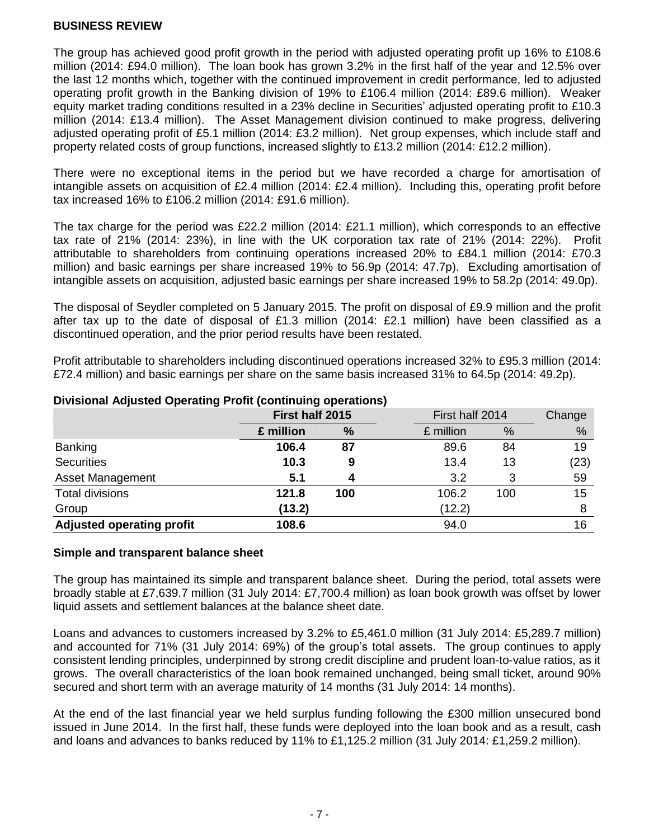The group has achieved good profit growth in the period with adjusted operating profit up 16% to £108.6 million (2014: £94.0 million). The loan book has grown 3.2% in the first half of the year and 12.5% over the last 12 months which, together with the continued improvement in credit performance, led to adjusted operating profit growth in the Banking division of 19% to £106.4 million (2014: £89.6 million). Weaker equity market trading conditions resulted in a 23% decline in Securities' adjusted operating profit to £10.3 million (2014: £13.4 million). The Asset Management division continued to make progress, delivering adjusted operating profit of £5.1 million (2014: £3.2 million). Net group expenses, which include staff and property related costs of group functions, increased slightly to £13.2 million (2014: £12.2 million).

There were no exceptional items in the period but we have recorded a charge for amortisation of intangible assets on acquisition of £2.4 million (2014: £2.4 million). Including this, operating profit before tax increased 16% to £106.2 million (2014: £91.6 million).

The tax charge for the period was £22.2 million (2014: £21.1 million), which corresponds to an effective tax rate of 21% (2014: 23%), in line with the UK corporation tax rate of 21% (2014: 22%). Profit attributable to shareholders from continuing operations increased 20% to £84.1 million (2014: £70.3 million) and basic earnings per share increased 19% to 56.9p (2014: 47.7p). Excluding amortisation of intangible assets on acquisition, adjusted basic earnings per share increased 19% to 58.2p (2014: 49.0p).

The disposal of Seydler completed on 5 January 2015. The profit on disposal of £9.9 million and the profit after tax up to the date of disposal of £1.3 million (2014: £2.1 million) have been classified as a discontinued operation, and the prior period results have been restated.

Profit attributable to shareholders including discontinued operations increased 32% to £95.3 million (2014: £72.4 million) and basic earnings per share on the same basis increased 31% to 64.5p (2014: 49.2p).

|                                  |           | First half 2015 |           | First half 2014 |      |
|----------------------------------|-----------|-----------------|-----------|-----------------|------|
|                                  | £ million | $\frac{9}{6}$   | £ million | %               | %    |
| <b>Banking</b>                   | 106.4     | 87              | 89.6      | 84              | 19   |
| <b>Securities</b>                | 10.3      | 9               | 13.4      | 13              | (23) |
| Asset Management                 | 5.1       |                 | 3.2       | 3               | 59   |
| <b>Total divisions</b>           | 121.8     | 100             | 106.2     | 100             | 15   |
| Group                            | (13.2)    |                 | (12.2)    |                 | 8    |
| <b>Adjusted operating profit</b> | 108.6     |                 | 94.0      |                 | 16   |

## **Divisional Adjusted Operating Profit (continuing operations)**

#### **Simple and transparent balance sheet**

The group has maintained its simple and transparent balance sheet. During the period, total assets were broadly stable at £7,639.7 million (31 July 2014: £7,700.4 million) as loan book growth was offset by lower liquid assets and settlement balances at the balance sheet date.

Loans and advances to customers increased by 3.2% to £5,461.0 million (31 July 2014: £5,289.7 million) and accounted for 71% (31 July 2014: 69%) of the group's total assets. The group continues to apply consistent lending principles, underpinned by strong credit discipline and prudent loan-to-value ratios, as it grows. The overall characteristics of the loan book remained unchanged, being small ticket, around 90% secured and short term with an average maturity of 14 months (31 July 2014: 14 months).

At the end of the last financial year we held surplus funding following the £300 million unsecured bond issued in June 2014. In the first half, these funds were deployed into the loan book and as a result, cash and loans and advances to banks reduced by 11% to £1,125.2 million (31 July 2014: £1,259.2 million).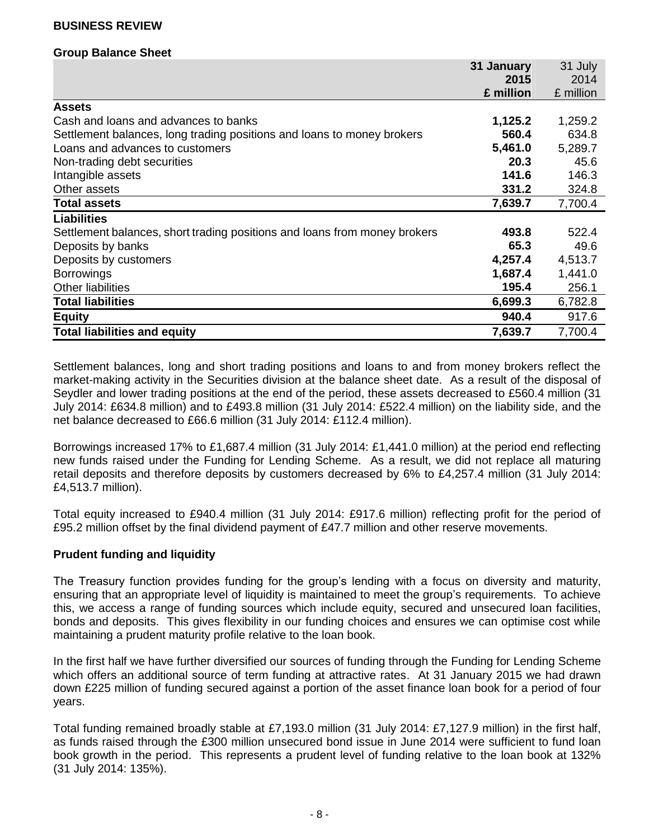#### **Group Balance Sheet**

|                                                                           | 31 January | 31 July   |
|---------------------------------------------------------------------------|------------|-----------|
|                                                                           | 2015       | 2014      |
|                                                                           | £ million  | £ million |
| <b>Assets</b>                                                             |            |           |
| Cash and loans and advances to banks                                      | 1,125.2    | 1,259.2   |
| Settlement balances, long trading positions and loans to money brokers    | 560.4      | 634.8     |
| Loans and advances to customers                                           | 5,461.0    | 5,289.7   |
| Non-trading debt securities                                               | 20.3       | 45.6      |
| Intangible assets                                                         | 141.6      | 146.3     |
| Other assets                                                              | 331.2      | 324.8     |
| <b>Total assets</b>                                                       | 7,639.7    | 7,700.4   |
| <b>Liabilities</b>                                                        |            |           |
| Settlement balances, short trading positions and loans from money brokers | 493.8      | 522.4     |
| Deposits by banks                                                         | 65.3       | 49.6      |
| Deposits by customers                                                     | 4,257.4    | 4,513.7   |
| <b>Borrowings</b>                                                         | 1,687.4    | 1,441.0   |
| <b>Other liabilities</b>                                                  | 195.4      | 256.1     |
| <b>Total liabilities</b>                                                  | 6,699.3    | 6,782.8   |
| <b>Equity</b>                                                             | 940.4      | 917.6     |
| <b>Total liabilities and equity</b>                                       | 7,639.7    | 7,700.4   |

Settlement balances, long and short trading positions and loans to and from money brokers reflect the market-making activity in the Securities division at the balance sheet date. As a result of the disposal of Seydler and lower trading positions at the end of the period, these assets decreased to £560.4 million (31 July 2014: £634.8 million) and to £493.8 million (31 July 2014: £522.4 million) on the liability side, and the net balance decreased to £66.6 million (31 July 2014: £112.4 million).

Borrowings increased 17% to £1,687.4 million (31 July 2014: £1,441.0 million) at the period end reflecting new funds raised under the Funding for Lending Scheme. As a result, we did not replace all maturing retail deposits and therefore deposits by customers decreased by 6% to £4,257.4 million (31 July 2014: £4,513.7 million).

Total equity increased to £940.4 million (31 July 2014: £917.6 million) reflecting profit for the period of £95.2 million offset by the final dividend payment of £47.7 million and other reserve movements.

#### **Prudent funding and liquidity**

The Treasury function provides funding for the group's lending with a focus on diversity and maturity, ensuring that an appropriate level of liquidity is maintained to meet the group's requirements. To achieve this, we access a range of funding sources which include equity, secured and unsecured loan facilities, bonds and deposits. This gives flexibility in our funding choices and ensures we can optimise cost while maintaining a prudent maturity profile relative to the loan book.

In the first half we have further diversified our sources of funding through the Funding for Lending Scheme which offers an additional source of term funding at attractive rates. At 31 January 2015 we had drawn down £225 million of funding secured against a portion of the asset finance loan book for a period of four years.

Total funding remained broadly stable at £7,193.0 million (31 July 2014: £7,127.9 million) in the first half, as funds raised through the £300 million unsecured bond issue in June 2014 were sufficient to fund loan book growth in the period. This represents a prudent level of funding relative to the loan book at 132% (31 July 2014: 135%).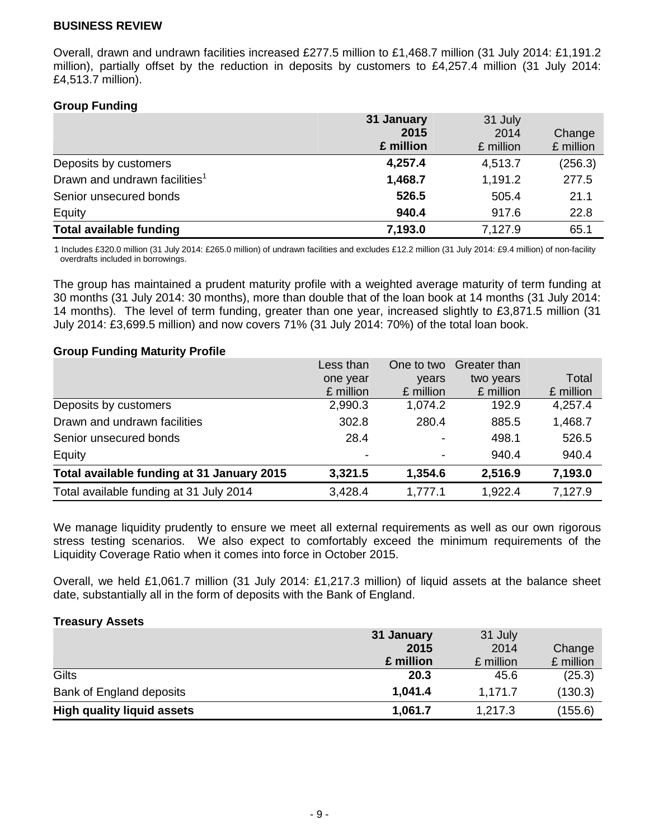Overall, drawn and undrawn facilities increased £277.5 million to £1,468.7 million (31 July 2014: £1,191.2 million), partially offset by the reduction in deposits by customers to £4,257.4 million (31 July 2014: £4,513.7 million).

### **Group Funding**

|                                           | 31 January | 31 July   |           |
|-------------------------------------------|------------|-----------|-----------|
|                                           | 2015       | 2014      | Change    |
|                                           | £ million  | £ million | £ million |
| Deposits by customers                     | 4,257.4    | 4,513.7   | (256.3)   |
| Drawn and undrawn facilities <sup>1</sup> | 1,468.7    | 1,191.2   | 277.5     |
| Senior unsecured bonds                    | 526.5      | 505.4     | 21.1      |
| Equity                                    | 940.4      | 917.6     | 22.8      |
| <b>Total available funding</b>            | 7,193.0    | 7,127.9   | 65.1      |

1 Includes £320.0 million (31 July 2014: £265.0 million) of undrawn facilities and excludes £12.2 million (31 July 2014: £9.4 million) of non-facility overdrafts included in borrowings.

The group has maintained a prudent maturity profile with a weighted average maturity of term funding at 30 months (31 July 2014: 30 months), more than double that of the loan book at 14 months (31 July 2014: 14 months). The level of term funding, greater than one year, increased slightly to £3,871.5 million (31 July 2014: £3,699.5 million) and now covers 71% (31 July 2014: 70%) of the total loan book.

#### **Group Funding Maturity Profile**

|                                            | Less than                | One to two | Greater than |           |
|--------------------------------------------|--------------------------|------------|--------------|-----------|
|                                            | one year                 | years      | two years    | Total     |
|                                            | £ million                | £ million  | £ million    | £ million |
| Deposits by customers                      | 2,990.3                  | 1,074.2    | 192.9        | 4,257.4   |
| Drawn and undrawn facilities               | 302.8                    | 280.4      | 885.5        | 1,468.7   |
| Senior unsecured bonds                     | 28.4                     |            | 498.1        | 526.5     |
| Equity                                     | $\overline{\phantom{a}}$ |            | 940.4        | 940.4     |
| Total available funding at 31 January 2015 | 3,321.5                  | 1,354.6    | 2,516.9      | 7,193.0   |
| Total available funding at 31 July 2014    | 3,428.4                  | 1,777.1    | 1,922.4      | 7,127.9   |

We manage liquidity prudently to ensure we meet all external requirements as well as our own rigorous stress testing scenarios. We also expect to comfortably exceed the minimum requirements of the Liquidity Coverage Ratio when it comes into force in October 2015.

Overall, we held £1,061.7 million (31 July 2014: £1,217.3 million) of liquid assets at the balance sheet date, substantially all in the form of deposits with the Bank of England.

#### **Treasury Assets**

|                                   | 31 January | 31 July   |           |
|-----------------------------------|------------|-----------|-----------|
|                                   | 2015       | 2014      | Change    |
|                                   | £ million  | £ million | £ million |
| Gilts                             | 20.3       | 45.6      | (25.3)    |
| Bank of England deposits          | 1,041.4    | 1,171.7   | (130.3)   |
| <b>High quality liquid assets</b> | 1,061.7    | 1,217.3   | (155.6)   |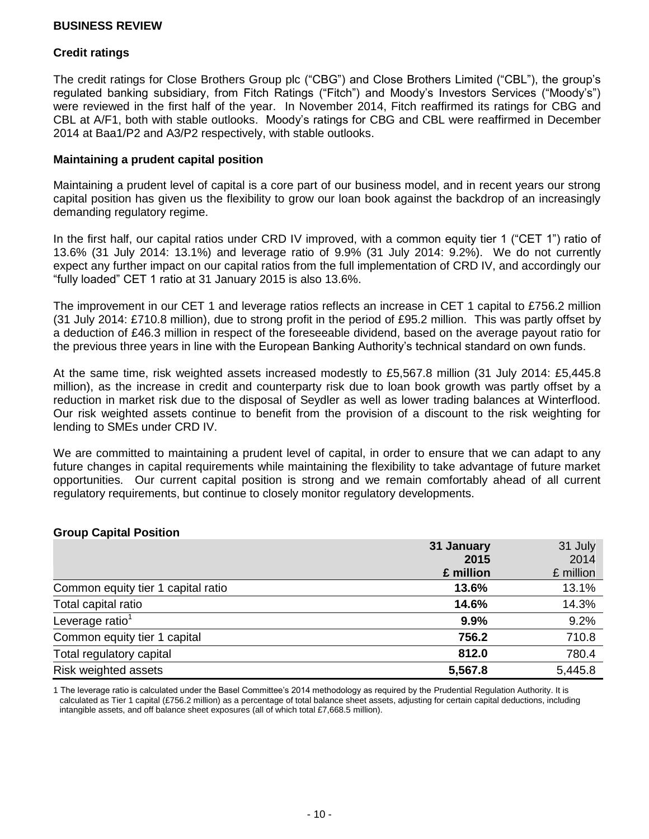## **Credit ratings**

The credit ratings for Close Brothers Group plc ("CBG") and Close Brothers Limited ("CBL"), the group's regulated banking subsidiary, from Fitch Ratings ("Fitch") and Moody's Investors Services ("Moody's") were reviewed in the first half of the year. In November 2014, Fitch reaffirmed its ratings for CBG and CBL at A/F1, both with stable outlooks. Moody's ratings for CBG and CBL were reaffirmed in December 2014 at Baa1/P2 and A3/P2 respectively, with stable outlooks.

### **Maintaining a prudent capital position**

Maintaining a prudent level of capital is a core part of our business model, and in recent years our strong capital position has given us the flexibility to grow our loan book against the backdrop of an increasingly demanding regulatory regime.

In the first half, our capital ratios under CRD IV improved, with a common equity tier 1 ("CET 1") ratio of 13.6% (31 July 2014: 13.1%) and leverage ratio of 9.9% (31 July 2014: 9.2%). We do not currently expect any further impact on our capital ratios from the full implementation of CRD IV, and accordingly our "fully loaded" CET 1 ratio at 31 January 2015 is also 13.6%.

The improvement in our CET 1 and leverage ratios reflects an increase in CET 1 capital to £756.2 million (31 July 2014: £710.8 million), due to strong profit in the period of £95.2 million. This was partly offset by a deduction of £46.3 million in respect of the foreseeable dividend, based on the average payout ratio for the previous three years in line with the European Banking Authority's technical standard on own funds.

At the same time, risk weighted assets increased modestly to £5,567.8 million (31 July 2014: £5,445.8 million), as the increase in credit and counterparty risk due to loan book growth was partly offset by a reduction in market risk due to the disposal of Seydler as well as lower trading balances at Winterflood. Our risk weighted assets continue to benefit from the provision of a discount to the risk weighting for lending to SMEs under CRD IV.

We are committed to maintaining a prudent level of capital, in order to ensure that we can adapt to any future changes in capital requirements while maintaining the flexibility to take advantage of future market opportunities. Our current capital position is strong and we remain comfortably ahead of all current regulatory requirements, but continue to closely monitor regulatory developments.

#### **Group Capital Position**

|                                    | 31 January | 31 July   |
|------------------------------------|------------|-----------|
|                                    | 2015       | 2014      |
|                                    | £ million  | £ million |
| Common equity tier 1 capital ratio | 13.6%      | 13.1%     |
| Total capital ratio                | 14.6%      | 14.3%     |
| Leverage ratio <sup>1</sup>        | 9.9%       | 9.2%      |
| Common equity tier 1 capital       | 756.2      | 710.8     |
| Total regulatory capital           | 812.0      | 780.4     |
| Risk weighted assets               | 5,567.8    | 5,445.8   |

1 The leverage ratio is calculated under the Basel Committee's 2014 methodology as required by the Prudential Regulation Authority. It is calculated as Tier 1 capital (£756.2 million) as a percentage of total balance sheet assets, adjusting for certain capital deductions, including intangible assets, and off balance sheet exposures (all of which total £7,668.5 million).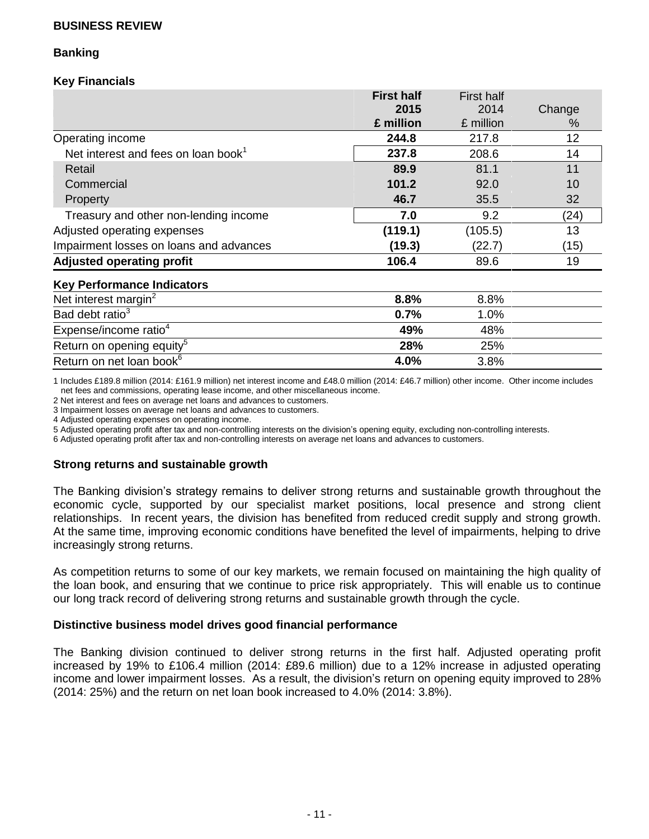## **Banking**

## **Key Financials**

|                                                 | <b>First half</b> | <b>First half</b> |        |
|-------------------------------------------------|-------------------|-------------------|--------|
|                                                 | 2015              | 2014              | Change |
|                                                 | £ million         | £ million         | %      |
| Operating income                                | 244.8             | 217.8             | 12     |
| Net interest and fees on loan book <sup>1</sup> | 237.8             | 208.6             | 14     |
| Retail                                          | 89.9              | 81.1              | 11     |
| Commercial                                      | 101.2             | 92.0              | 10     |
| <b>Property</b>                                 | 46.7              | 35.5              | 32     |
| Treasury and other non-lending income           | 7.0               | 9.2               | (24)   |
| Adjusted operating expenses                     | (119.1)           | (105.5)           | 13     |
| Impairment losses on loans and advances         | (19.3)            | (22.7)            | (15)   |
| <b>Adjusted operating profit</b>                | 106.4             | 89.6              | 19     |
| <b>Key Performance Indicators</b>               |                   |                   |        |
| Net interest margin <sup>2</sup>                | 8.8%              | 8.8%              |        |
| Bad debt ratio <sup>3</sup>                     | 0.7%              | 1.0%              |        |
| Expense/income ratio <sup>4</sup>               | 49%               | 48%               |        |
| Return on opening equity <sup>5</sup>           | 28%               | 25%               |        |
| Return on net loan book <sup>6</sup>            | 4.0%              | 3.8%              |        |

1 Includes £189.8 million (2014: £161.9 million) net interest income and £48.0 million (2014: £46.7 million) other income. Other income includes net fees and commissions, operating lease income, and other miscellaneous income.

2 Net interest and fees on average net loans and advances to customers.

3 Impairment losses on average net loans and advances to customers.

4 Adjusted operating expenses on operating income.

5 Adjusted operating profit after tax and non-controlling interests on the division's opening equity, excluding non-controlling interests.

6 Adjusted operating profit after tax and non-controlling interests on average net loans and advances to customers.

#### **Strong returns and sustainable growth**

The Banking division's strategy remains to deliver strong returns and sustainable growth throughout the economic cycle, supported by our specialist market positions, local presence and strong client relationships. In recent years, the division has benefited from reduced credit supply and strong growth. At the same time, improving economic conditions have benefited the level of impairments, helping to drive increasingly strong returns.

As competition returns to some of our key markets, we remain focused on maintaining the high quality of the loan book, and ensuring that we continue to price risk appropriately. This will enable us to continue our long track record of delivering strong returns and sustainable growth through the cycle.

#### **Distinctive business model drives good financial performance**

The Banking division continued to deliver strong returns in the first half. Adjusted operating profit increased by 19% to £106.4 million (2014: £89.6 million) due to a 12% increase in adjusted operating income and lower impairment losses. As a result, the division's return on opening equity improved to 28% (2014: 25%) and the return on net loan book increased to 4.0% (2014: 3.8%).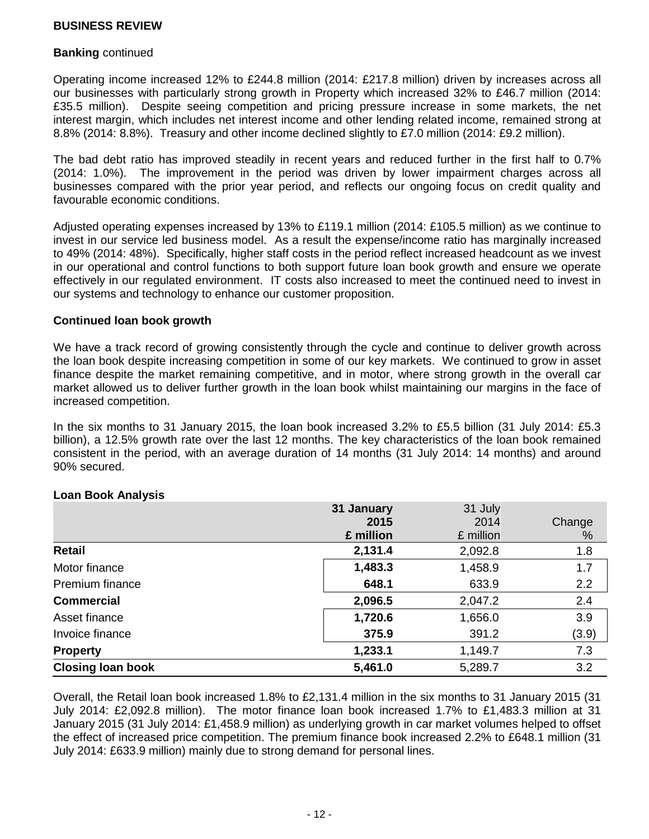#### **Banking** continued

Operating income increased 12% to £244.8 million (2014: £217.8 million) driven by increases across all our businesses with particularly strong growth in Property which increased 32% to £46.7 million (2014: £35.5 million). Despite seeing competition and pricing pressure increase in some markets, the net interest margin, which includes net interest income and other lending related income, remained strong at 8.8% (2014: 8.8%). Treasury and other income declined slightly to £7.0 million (2014: £9.2 million).

The bad debt ratio has improved steadily in recent years and reduced further in the first half to 0.7% (2014: 1.0%). The improvement in the period was driven by lower impairment charges across all businesses compared with the prior year period, and reflects our ongoing focus on credit quality and favourable economic conditions.

Adjusted operating expenses increased by 13% to £119.1 million (2014: £105.5 million) as we continue to invest in our service led business model. As a result the expense/income ratio has marginally increased to 49% (2014: 48%). Specifically, higher staff costs in the period reflect increased headcount as we invest in our operational and control functions to both support future loan book growth and ensure we operate effectively in our regulated environment. IT costs also increased to meet the continued need to invest in our systems and technology to enhance our customer proposition.

### **Continued loan book growth**

We have a track record of growing consistently through the cycle and continue to deliver growth across the loan book despite increasing competition in some of our key markets. We continued to grow in asset finance despite the market remaining competitive, and in motor, where strong growth in the overall car market allowed us to deliver further growth in the loan book whilst maintaining our margins in the face of increased competition.

In the six months to 31 January 2015, the loan book increased 3.2% to £5.5 billion (31 July 2014: £5.3 billion), a 12.5% growth rate over the last 12 months. The key characteristics of the loan book remained consistent in the period, with an average duration of 14 months (31 July 2014: 14 months) and around 90% secured.

|                          | 31 January | 31 July   |        |
|--------------------------|------------|-----------|--------|
|                          | 2015       | 2014      | Change |
|                          | £ million  | £ million | %      |
| Retail                   | 2,131.4    | 2,092.8   | 1.8    |
| Motor finance            | 1,483.3    | 1,458.9   | 1.7    |
| <b>Premium finance</b>   | 648.1      | 633.9     | 2.2    |
| <b>Commercial</b>        | 2,096.5    | 2,047.2   | 2.4    |
| Asset finance            | 1,720.6    | 1,656.0   | 3.9    |
| Invoice finance          | 375.9      | 391.2     | (3.9)  |
| <b>Property</b>          | 1,233.1    | 1,149.7   | 7.3    |
| <b>Closing loan book</b> | 5,461.0    | 5,289.7   | 3.2    |

#### **Loan Book Analysis**

Overall, the Retail loan book increased 1.8% to £2,131.4 million in the six months to 31 January 2015 (31 July 2014: £2,092.8 million). The motor finance loan book increased 1.7% to £1,483.3 million at 31 January 2015 (31 July 2014: £1,458.9 million) as underlying growth in car market volumes helped to offset the effect of increased price competition. The premium finance book increased 2.2% to £648.1 million (31 July 2014: £633.9 million) mainly due to strong demand for personal lines.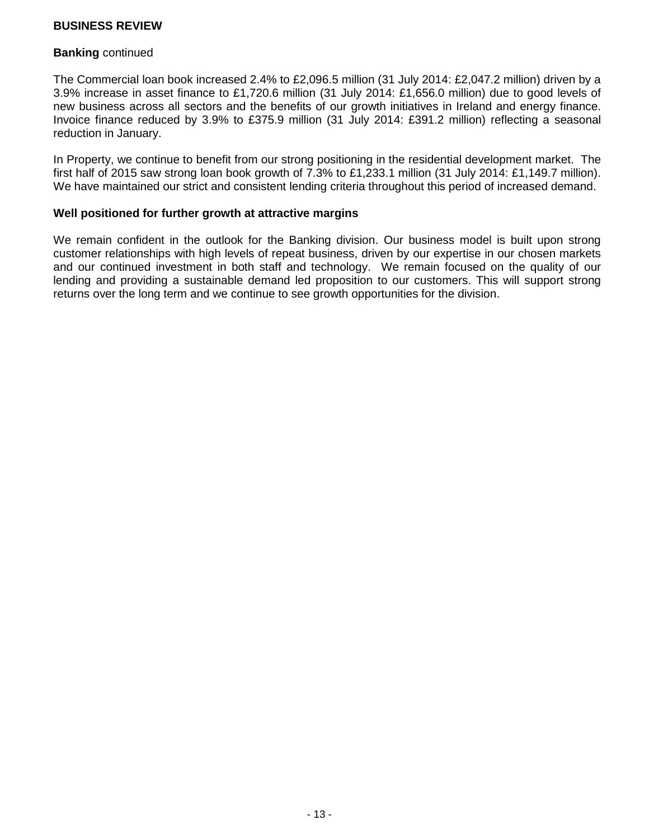#### **Banking** continued

The Commercial loan book increased 2.4% to £2,096.5 million (31 July 2014: £2,047.2 million) driven by a 3.9% increase in asset finance to £1,720.6 million (31 July 2014: £1,656.0 million) due to good levels of new business across all sectors and the benefits of our growth initiatives in Ireland and energy finance. Invoice finance reduced by 3.9% to £375.9 million (31 July 2014: £391.2 million) reflecting a seasonal reduction in January.

In Property, we continue to benefit from our strong positioning in the residential development market. The first half of 2015 saw strong loan book growth of 7.3% to £1,233.1 million (31 July 2014: £1,149.7 million). We have maintained our strict and consistent lending criteria throughout this period of increased demand.

### **Well positioned for further growth at attractive margins**

We remain confident in the outlook for the Banking division. Our business model is built upon strong customer relationships with high levels of repeat business, driven by our expertise in our chosen markets and our continued investment in both staff and technology. We remain focused on the quality of our lending and providing a sustainable demand led proposition to our customers. This will support strong returns over the long term and we continue to see growth opportunities for the division.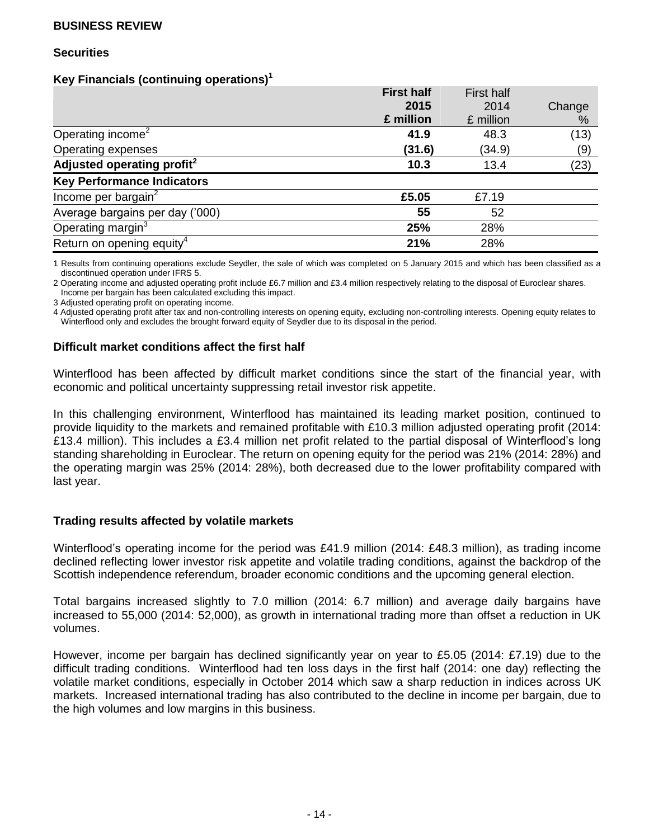#### **Securities**

### **Key Financials (continuing operations)<sup>1</sup>**

|                                        | <b>First half</b> | <b>First half</b> |        |
|----------------------------------------|-------------------|-------------------|--------|
|                                        | 2015              | 2014              | Change |
|                                        | £ million         | £ million         | %      |
| Operating income <sup>2</sup>          | 41.9              | 48.3              | (13)   |
| Operating expenses                     | (31.6)            | (34.9)            | (9)    |
| Adjusted operating profit <sup>2</sup> | 10.3              | 13.4              | (23)   |
| <b>Key Performance Indicators</b>      |                   |                   |        |
| Income per bargain $2$                 | £5.05             | £7.19             |        |
| Average bargains per day ('000)        | 55                | 52                |        |
| Operating margin <sup>3</sup>          | 25%               | 28%               |        |
| Return on opening equity <sup>4</sup>  | 21%               | 28%               |        |

1 Results from continuing operations exclude Seydler, the sale of which was completed on 5 January 2015 and which has been classified as a discontinued operation under IFRS 5.

2 Operating income and adjusted operating profit include £6.7 million and £3.4 million respectively relating to the disposal of Euroclear shares. Income per bargain has been calculated excluding this impact.

3 Adjusted operating profit on operating income.

4 Adjusted operating profit after tax and non-controlling interests on opening equity, excluding non-controlling interests. Opening equity relates to Winterflood only and excludes the brought forward equity of Seydler due to its disposal in the period.

### **Difficult market conditions affect the first half**

Winterflood has been affected by difficult market conditions since the start of the financial year, with economic and political uncertainty suppressing retail investor risk appetite.

In this challenging environment, Winterflood has maintained its leading market position, continued to provide liquidity to the markets and remained profitable with £10.3 million adjusted operating profit (2014: £13.4 million). This includes a £3.4 million net profit related to the partial disposal of Winterflood's long standing shareholding in Euroclear. The return on opening equity for the period was 21% (2014: 28%) and the operating margin was 25% (2014: 28%), both decreased due to the lower profitability compared with last year.

#### **Trading results affected by volatile markets**

Winterflood's operating income for the period was £41.9 million (2014: £48.3 million), as trading income declined reflecting lower investor risk appetite and volatile trading conditions, against the backdrop of the Scottish independence referendum, broader economic conditions and the upcoming general election.

Total bargains increased slightly to 7.0 million (2014: 6.7 million) and average daily bargains have increased to 55,000 (2014: 52,000), as growth in international trading more than offset a reduction in UK volumes.

However, income per bargain has declined significantly year on year to £5.05 (2014: £7.19) due to the difficult trading conditions. Winterflood had ten loss days in the first half (2014: one day) reflecting the volatile market conditions, especially in October 2014 which saw a sharp reduction in indices across UK markets. Increased international trading has also contributed to the decline in income per bargain, due to the high volumes and low margins in this business.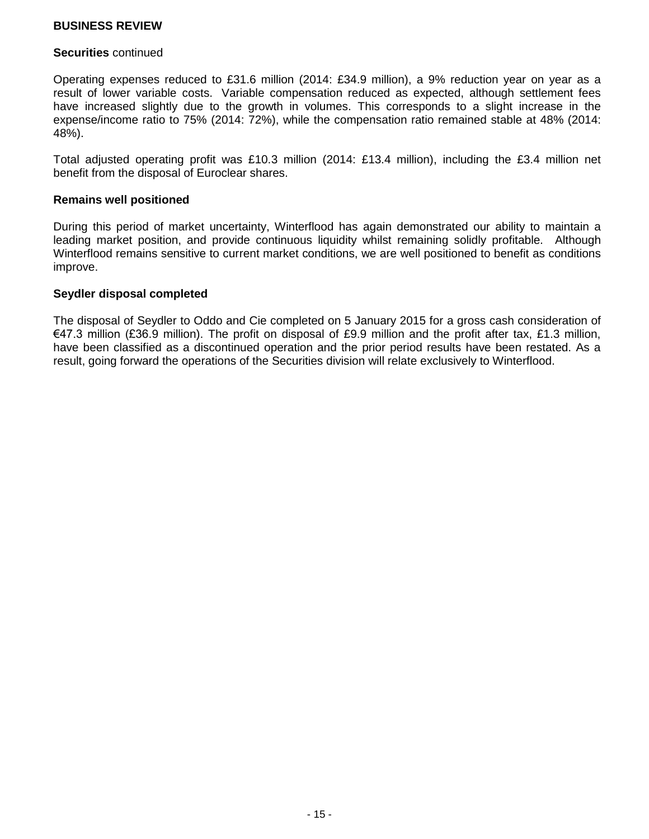#### **Securities** continued

Operating expenses reduced to £31.6 million (2014: £34.9 million), a 9% reduction year on year as a result of lower variable costs. Variable compensation reduced as expected, although settlement fees have increased slightly due to the growth in volumes. This corresponds to a slight increase in the expense/income ratio to 75% (2014: 72%), while the compensation ratio remained stable at 48% (2014: 48%).

Total adjusted operating profit was £10.3 million (2014: £13.4 million), including the £3.4 million net benefit from the disposal of Euroclear shares.

#### **Remains well positioned**

During this period of market uncertainty, Winterflood has again demonstrated our ability to maintain a leading market position, and provide continuous liquidity whilst remaining solidly profitable. Although Winterflood remains sensitive to current market conditions, we are well positioned to benefit as conditions improve.

#### **Seydler disposal completed**

The disposal of Seydler to Oddo and Cie completed on 5 January 2015 for a gross cash consideration of €47.3 million (£36.9 million). The profit on disposal of £9.9 million and the profit after tax, £1.3 million, have been classified as a discontinued operation and the prior period results have been restated. As a result, going forward the operations of the Securities division will relate exclusively to Winterflood.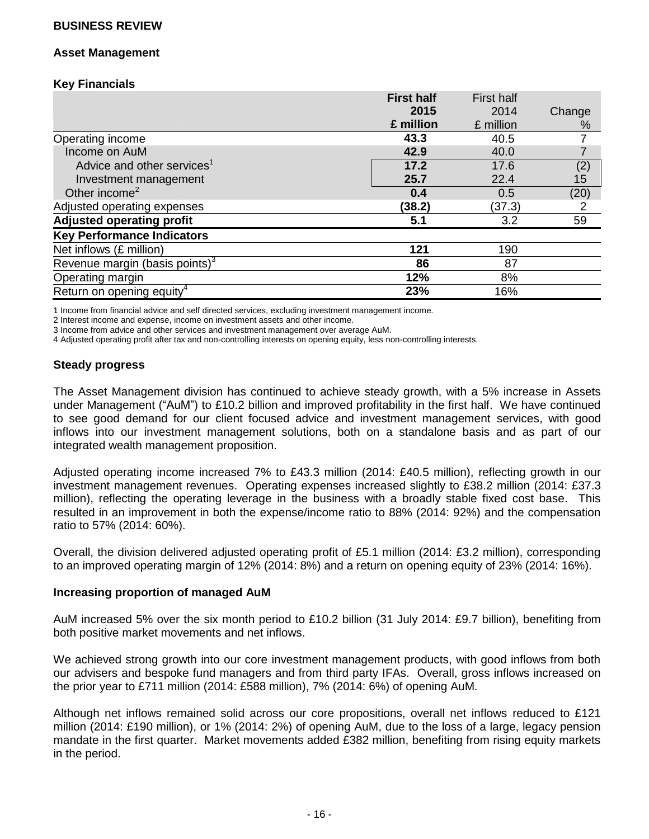#### **Asset Management**

## **Key Financials**

|                                        | <b>First half</b> | <b>First half</b> |                 |
|----------------------------------------|-------------------|-------------------|-----------------|
|                                        | 2015              | 2014              | Change          |
|                                        | £ million         | £ million         | %               |
| Operating income                       | 43.3              | 40.5              |                 |
| Income on AuM                          | 42.9              | 40.0              |                 |
| Advice and other services <sup>1</sup> | 17.2              | 17.6              | $\binom{2}{15}$ |
| Investment management                  | 25.7              | 22.4              |                 |
| Other income <sup>2</sup>              | 0.4               | 0.5               | (20)            |
| Adjusted operating expenses            | (38.2)            | (37.3)            | 2               |
| <b>Adjusted operating profit</b>       | 5.1               | 3.2               | 59              |
| <b>Key Performance Indicators</b>      |                   |                   |                 |
| Net inflows (£ million)                | 121               | 190               |                 |
| Revenue margin (basis points) $3$      | 86                | 87                |                 |
| Operating margin                       | 12%               | 8%                |                 |
| Return on opening equity <sup>4</sup>  | 23%               | 16%               |                 |

1 Income from financial advice and self directed services, excluding investment management income.

2 Interest income and expense, income on investment assets and other income.

3 Income from advice and other services and investment management over average AuM.

4 Adjusted operating profit after tax and non-controlling interests on opening equity, less non-controlling interests.

## **Steady progress**

The Asset Management division has continued to achieve steady growth, with a 5% increase in Assets under Management ("AuM") to £10.2 billion and improved profitability in the first half. We have continued to see good demand for our client focused advice and investment management services, with good inflows into our investment management solutions, both on a standalone basis and as part of our integrated wealth management proposition.

Adjusted operating income increased 7% to £43.3 million (2014: £40.5 million), reflecting growth in our investment management revenues. Operating expenses increased slightly to £38.2 million (2014: £37.3 million), reflecting the operating leverage in the business with a broadly stable fixed cost base. This resulted in an improvement in both the expense/income ratio to 88% (2014: 92%) and the compensation ratio to 57% (2014: 60%).

Overall, the division delivered adjusted operating profit of £5.1 million (2014: £3.2 million), corresponding to an improved operating margin of 12% (2014: 8%) and a return on opening equity of 23% (2014: 16%).

#### **Increasing proportion of managed AuM**

AuM increased 5% over the six month period to £10.2 billion (31 July 2014: £9.7 billion), benefiting from both positive market movements and net inflows.

We achieved strong growth into our core investment management products, with good inflows from both our advisers and bespoke fund managers and from third party IFAs. Overall, gross inflows increased on the prior year to £711 million (2014: £588 million), 7% (2014: 6%) of opening AuM.

Although net inflows remained solid across our core propositions, overall net inflows reduced to £121 million (2014: £190 million), or 1% (2014: 2%) of opening AuM, due to the loss of a large, legacy pension mandate in the first quarter. Market movements added £382 million, benefiting from rising equity markets in the period.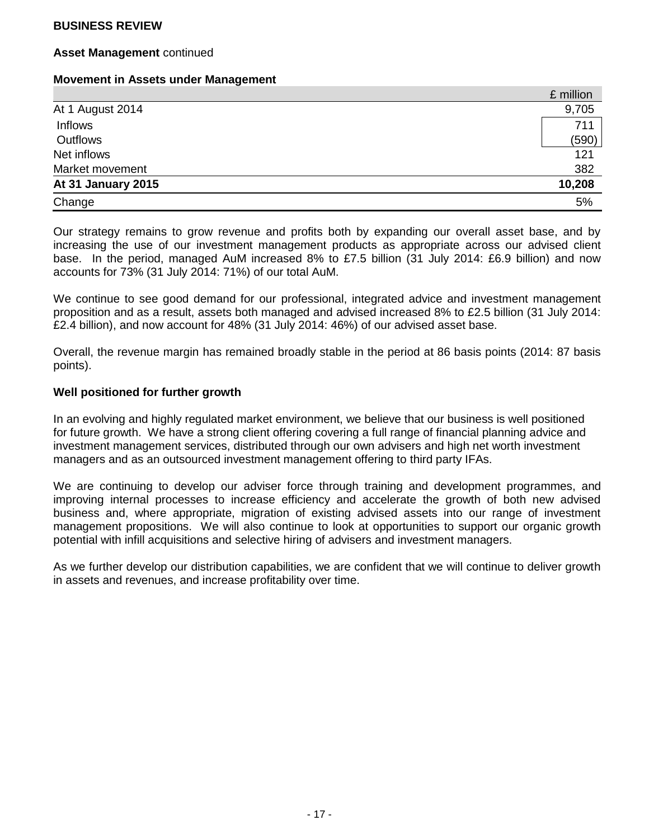#### **Asset Management** continued

#### **Movement in Assets under Management**

|                    | £ million |
|--------------------|-----------|
| At 1 August 2014   | 9,705     |
| Inflows            | 711       |
| Outflows           | (590)     |
| Net inflows        | 121       |
| Market movement    | 382       |
| At 31 January 2015 | 10,208    |
| Change             | 5%        |

Our strategy remains to grow revenue and profits both by expanding our overall asset base, and by increasing the use of our investment management products as appropriate across our advised client base. In the period, managed AuM increased 8% to £7.5 billion (31 July 2014: £6.9 billion) and now accounts for 73% (31 July 2014: 71%) of our total AuM.

We continue to see good demand for our professional, integrated advice and investment management proposition and as a result, assets both managed and advised increased 8% to £2.5 billion (31 July 2014: £2.4 billion), and now account for 48% (31 July 2014: 46%) of our advised asset base.

Overall, the revenue margin has remained broadly stable in the period at 86 basis points (2014: 87 basis points).

### **Well positioned for further growth**

In an evolving and highly regulated market environment, we believe that our business is well positioned for future growth. We have a strong client offering covering a full range of financial planning advice and investment management services, distributed through our own advisers and high net worth investment managers and as an outsourced investment management offering to third party IFAs.

We are continuing to develop our adviser force through training and development programmes, and improving internal processes to increase efficiency and accelerate the growth of both new advised business and, where appropriate, migration of existing advised assets into our range of investment management propositions. We will also continue to look at opportunities to support our organic growth potential with infill acquisitions and selective hiring of advisers and investment managers.

As we further develop our distribution capabilities, we are confident that we will continue to deliver growth in assets and revenues, and increase profitability over time.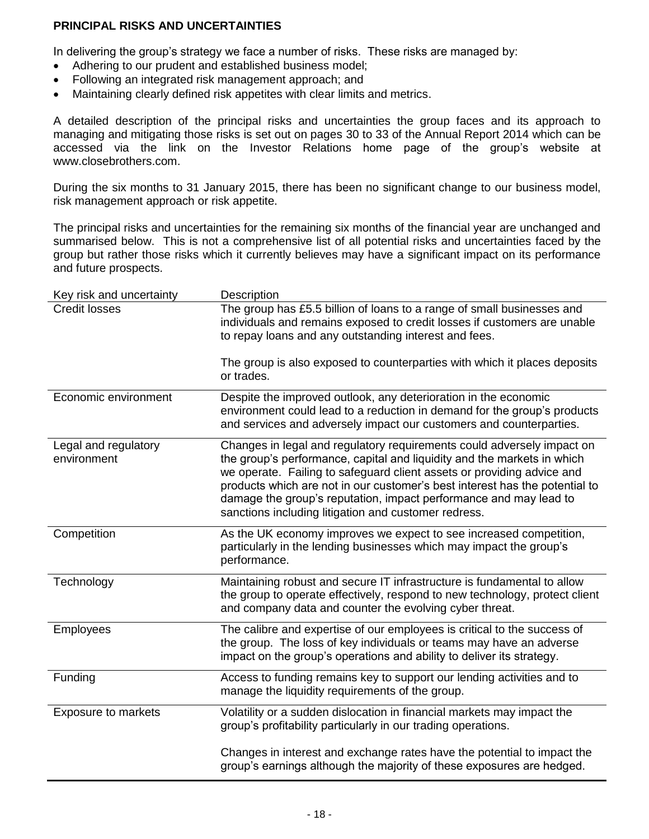## **PRINCIPAL RISKS AND UNCERTAINTIES**

In delivering the group's strategy we face a number of risks. These risks are managed by:

- Adhering to our prudent and established business model;
- Following an integrated risk management approach; and
- Maintaining clearly defined risk appetites with clear limits and metrics.

A detailed description of the principal risks and uncertainties the group faces and its approach to managing and mitigating those risks is set out on pages 30 to 33 of the Annual Report 2014 which can be accessed via the link on the Investor Relations home page of the group's website at [www.closebrothers.com.](http://www.closebrothers.com/)

During the six months to 31 January 2015, there has been no significant change to our business model, risk management approach or risk appetite.

The principal risks and uncertainties for the remaining six months of the financial year are unchanged and summarised below. This is not a comprehensive list of all potential risks and uncertainties faced by the group but rather those risks which it currently believes may have a significant impact on its performance and future prospects.

| Key risk and uncertainty            | Description                                                                                                                                                                                                                                                                                                                                                                                                                             |
|-------------------------------------|-----------------------------------------------------------------------------------------------------------------------------------------------------------------------------------------------------------------------------------------------------------------------------------------------------------------------------------------------------------------------------------------------------------------------------------------|
| <b>Credit losses</b>                | The group has £5.5 billion of loans to a range of small businesses and<br>individuals and remains exposed to credit losses if customers are unable<br>to repay loans and any outstanding interest and fees.                                                                                                                                                                                                                             |
|                                     | The group is also exposed to counterparties with which it places deposits<br>or trades.                                                                                                                                                                                                                                                                                                                                                 |
| Economic environment                | Despite the improved outlook, any deterioration in the economic<br>environment could lead to a reduction in demand for the group's products<br>and services and adversely impact our customers and counterparties.                                                                                                                                                                                                                      |
| Legal and regulatory<br>environment | Changes in legal and regulatory requirements could adversely impact on<br>the group's performance, capital and liquidity and the markets in which<br>we operate. Failing to safeguard client assets or providing advice and<br>products which are not in our customer's best interest has the potential to<br>damage the group's reputation, impact performance and may lead to<br>sanctions including litigation and customer redress. |
| Competition                         | As the UK economy improves we expect to see increased competition,<br>particularly in the lending businesses which may impact the group's<br>performance.                                                                                                                                                                                                                                                                               |
| Technology                          | Maintaining robust and secure IT infrastructure is fundamental to allow<br>the group to operate effectively, respond to new technology, protect client<br>and company data and counter the evolving cyber threat.                                                                                                                                                                                                                       |
| Employees                           | The calibre and expertise of our employees is critical to the success of<br>the group. The loss of key individuals or teams may have an adverse<br>impact on the group's operations and ability to deliver its strategy.                                                                                                                                                                                                                |
| Funding                             | Access to funding remains key to support our lending activities and to<br>manage the liquidity requirements of the group.                                                                                                                                                                                                                                                                                                               |
| <b>Exposure to markets</b>          | Volatility or a sudden dislocation in financial markets may impact the<br>group's profitability particularly in our trading operations.                                                                                                                                                                                                                                                                                                 |
|                                     | Changes in interest and exchange rates have the potential to impact the<br>group's earnings although the majority of these exposures are hedged.                                                                                                                                                                                                                                                                                        |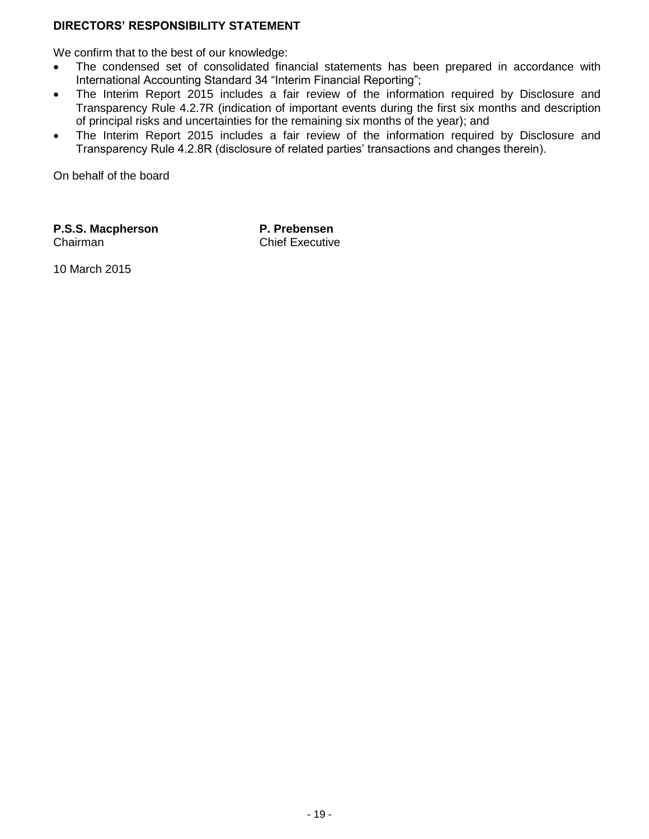## **DIRECTORS' RESPONSIBILITY STATEMENT**

We confirm that to the best of our knowledge:

- The condensed set of consolidated financial statements has been prepared in accordance with International Accounting Standard 34 "Interim Financial Reporting";
- The Interim Report 2015 includes a fair review of the information required by Disclosure and Transparency Rule 4.2.7R (indication of important events during the first six months and description of principal risks and uncertainties for the remaining six months of the year); and
- The Interim Report 2015 includes a fair review of the information required by Disclosure and Transparency Rule 4.2.8R (disclosure of related parties' transactions and changes therein).

On behalf of the board

**P.S.S. Macpherson** Chairman

**P. Prebensen** Chief Executive

10 March 2015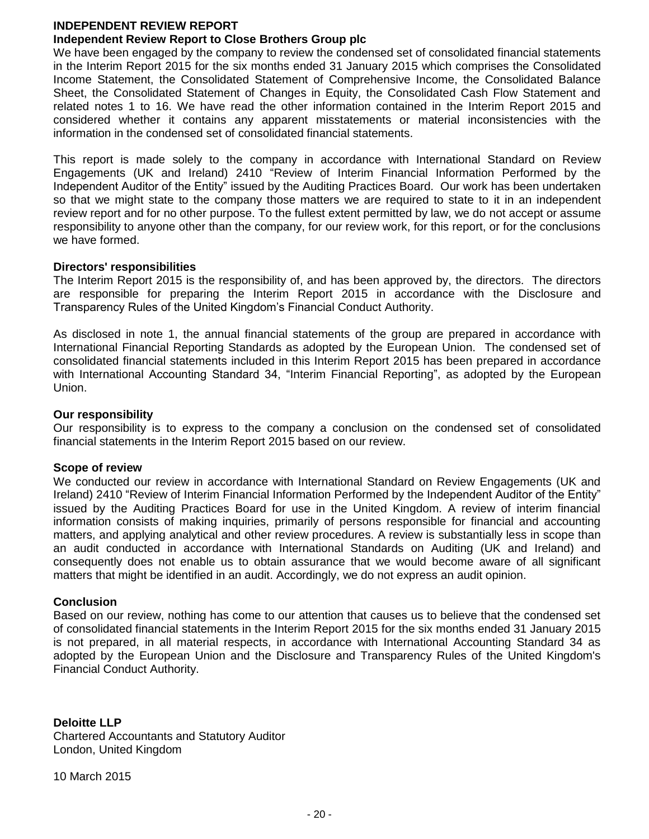#### **INDEPENDENT REVIEW REPORT**

### **Independent Review Report to Close Brothers Group plc**

We have been engaged by the company to review the condensed set of consolidated financial statements in the Interim Report 2015 for the six months ended 31 January 2015 which comprises the Consolidated Income Statement, the Consolidated Statement of Comprehensive Income, the Consolidated Balance Sheet, the Consolidated Statement of Changes in Equity, the Consolidated Cash Flow Statement and related notes 1 to 16. We have read the other information contained in the Interim Report 2015 and considered whether it contains any apparent misstatements or material inconsistencies with the information in the condensed set of consolidated financial statements.

This report is made solely to the company in accordance with International Standard on Review Engagements (UK and Ireland) 2410 "Review of Interim Financial Information Performed by the Independent Auditor of the Entity" issued by the Auditing Practices Board. Our work has been undertaken so that we might state to the company those matters we are required to state to it in an independent review report and for no other purpose. To the fullest extent permitted by law, we do not accept or assume responsibility to anyone other than the company, for our review work, for this report, or for the conclusions we have formed.

#### **Directors' responsibilities**

The Interim Report 2015 is the responsibility of, and has been approved by, the directors. The directors are responsible for preparing the Interim Report 2015 in accordance with the Disclosure and Transparency Rules of the United Kingdom's Financial Conduct Authority.

As disclosed in note 1, the annual financial statements of the group are prepared in accordance with International Financial Reporting Standards as adopted by the European Union. The condensed set of consolidated financial statements included in this Interim Report 2015 has been prepared in accordance with International Accounting Standard 34, "Interim Financial Reporting", as adopted by the European Union.

#### **Our responsibility**

Our responsibility is to express to the company a conclusion on the condensed set of consolidated financial statements in the Interim Report 2015 based on our review.

#### **Scope of review**

We conducted our review in accordance with International Standard on Review Engagements (UK and Ireland) 2410 "Review of Interim Financial Information Performed by the Independent Auditor of the Entity" issued by the Auditing Practices Board for use in the United Kingdom. A review of interim financial information consists of making inquiries, primarily of persons responsible for financial and accounting matters, and applying analytical and other review procedures. A review is substantially less in scope than an audit conducted in accordance with International Standards on Auditing (UK and Ireland) and consequently does not enable us to obtain assurance that we would become aware of all significant matters that might be identified in an audit. Accordingly, we do not express an audit opinion.

#### **Conclusion**

Based on our review, nothing has come to our attention that causes us to believe that the condensed set of consolidated financial statements in the Interim Report 2015 for the six months ended 31 January 2015 is not prepared, in all material respects, in accordance with International Accounting Standard 34 as adopted by the European Union and the Disclosure and Transparency Rules of the United Kingdom's Financial Conduct Authority.

### **Deloitte LLP**

Chartered Accountants and Statutory Auditor London, United Kingdom

10 March 2015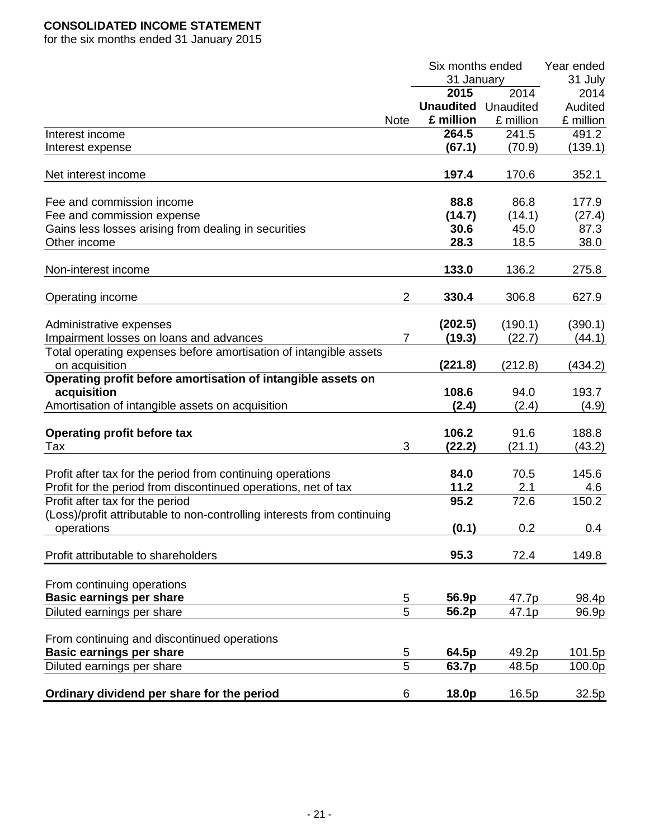# **CONSOLIDATED INCOME STATEMENT**

for the six months ended 31 January 2015

|                                                                         |                     | Six months ended | Year ended |           |
|-------------------------------------------------------------------------|---------------------|------------------|------------|-----------|
|                                                                         |                     | 31 January       |            | 31 July   |
|                                                                         |                     | 2015             | 2014       | 2014      |
|                                                                         |                     | <b>Unaudited</b> | Unaudited  | Audited   |
|                                                                         | <b>Note</b>         | £ million        | £ million  | £ million |
| Interest income                                                         |                     | 264.5            | 241.5      | 491.2     |
| Interest expense                                                        |                     | (67.1)           | (70.9)     | (139.1)   |
| Net interest income                                                     |                     | 197.4            | 170.6      | 352.1     |
|                                                                         |                     |                  |            |           |
| Fee and commission income                                               |                     | 88.8             | 86.8       | 177.9     |
| Fee and commission expense                                              |                     | (14.7)           | (14.1)     | (27.4)    |
| Gains less losses arising from dealing in securities                    |                     | 30.6             | 45.0       | 87.3      |
| Other income                                                            |                     | 28.3             | 18.5       | 38.0      |
| Non-interest income                                                     |                     | 133.0            | 136.2      | 275.8     |
|                                                                         |                     |                  |            |           |
| Operating income                                                        | $\overline{c}$      | 330.4            | 306.8      | 627.9     |
| Administrative expenses                                                 |                     | (202.5)          | (190.1)    | (390.1)   |
| Impairment losses on loans and advances                                 | $\overline{7}$      | (19.3)           | (22.7)     | (44.1)    |
| Total operating expenses before amortisation of intangible assets       |                     |                  |            |           |
| on acquisition                                                          |                     | (221.8)          | (212.8)    | (434.2)   |
| Operating profit before amortisation of intangible assets on            |                     |                  |            |           |
| acquisition                                                             |                     | 108.6            | 94.0       | 193.7     |
| Amortisation of intangible assets on acquisition                        |                     | (2.4)            | (2.4)      | (4.9)     |
|                                                                         |                     |                  |            |           |
| <b>Operating profit before tax</b>                                      |                     | 106.2            | 91.6       | 188.8     |
| Tax                                                                     | 3                   | (22.2)           | (21.1)     | (43.2)    |
|                                                                         |                     |                  |            |           |
| Profit after tax for the period from continuing operations              |                     | 84.0             | 70.5       | 145.6     |
| Profit for the period from discontinued operations, net of tax          |                     | 11.2             | 2.1        | 4.6       |
| Profit after tax for the period                                         |                     | 95.2             | 72.6       | 150.2     |
| (Loss)/profit attributable to non-controlling interests from continuing |                     |                  |            |           |
| operations                                                              |                     | (0.1)            | 0.2        | 0.4       |
|                                                                         |                     |                  |            |           |
| Profit attributable to shareholders                                     |                     | 95.3             | 72.4       | 149.8     |
|                                                                         |                     |                  |            |           |
| From continuing operations                                              |                     |                  |            |           |
| <b>Basic earnings per share</b>                                         | 5<br>$\overline{5}$ | 56.9p            | 47.7p      | 98.4p     |
| Diluted earnings per share                                              |                     | 56.2p            | 47.1p      | 96.9p     |
| From continuing and discontinued operations                             |                     |                  |            |           |
| <b>Basic earnings per share</b>                                         | 5                   | 64.5p            | 49.2p      | 101.5p    |
| Diluted earnings per share                                              | $\overline{5}$      | 63.7p            | 48.5p      | 100.0p    |
|                                                                         |                     |                  |            |           |
| Ordinary dividend per share for the period                              | 6                   | 18.0p            | 16.5p      | 32.5p     |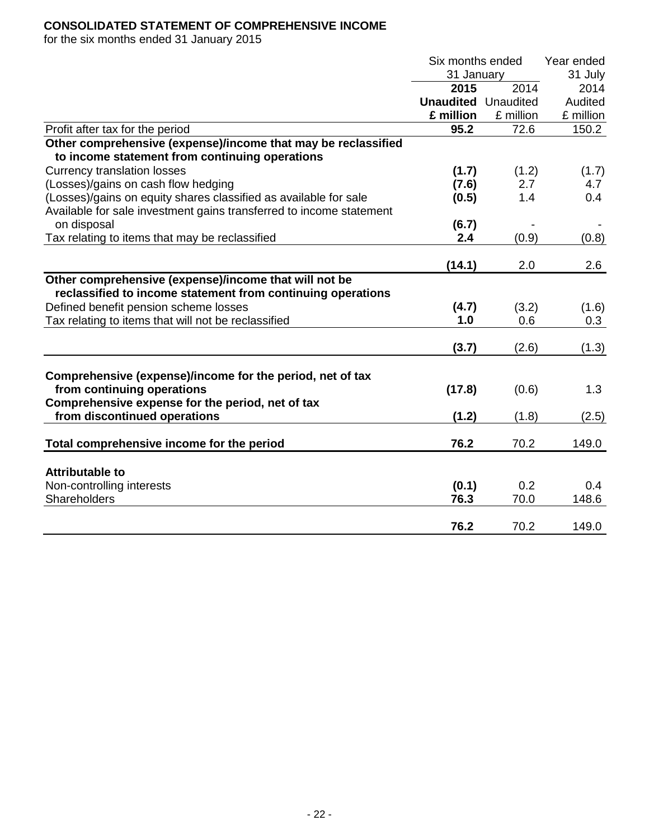## **CONSOLIDATED STATEMENT OF COMPREHENSIVE INCOME**

for the six months ended 31 January 2015

|                                                                     | Six months ended           |           | Year ended |
|---------------------------------------------------------------------|----------------------------|-----------|------------|
|                                                                     | 31 January                 |           | 31 July    |
|                                                                     | 2015                       | 2014      | 2014       |
|                                                                     | <b>Unaudited</b> Unaudited |           | Audited    |
|                                                                     | £ million                  | £ million | £ million  |
| Profit after tax for the period                                     | 95.2                       | 72.6      | 150.2      |
| Other comprehensive (expense)/income that may be reclassified       |                            |           |            |
| to income statement from continuing operations                      |                            |           |            |
| <b>Currency translation losses</b>                                  | (1.7)                      | (1.2)     | (1.7)      |
| (Losses)/gains on cash flow hedging                                 | (7.6)                      | 2.7       | 4.7        |
| (Losses)/gains on equity shares classified as available for sale    | (0.5)                      | 1.4       | 0.4        |
| Available for sale investment gains transferred to income statement |                            |           |            |
| on disposal                                                         | (6.7)                      |           |            |
| Tax relating to items that may be reclassified                      | 2.4                        | (0.9)     | (0.8)      |
|                                                                     |                            |           |            |
|                                                                     | (14.1)                     | 2.0       | 2.6        |
| Other comprehensive (expense)/income that will not be               |                            |           |            |
| reclassified to income statement from continuing operations         |                            |           |            |
| Defined benefit pension scheme losses                               | (4.7)                      | (3.2)     | (1.6)      |
| Tax relating to items that will not be reclassified                 | 1.0                        | 0.6       | 0.3        |
|                                                                     |                            |           |            |
|                                                                     | (3.7)                      | (2.6)     | (1.3)      |
|                                                                     |                            |           |            |
| Comprehensive (expense)/income for the period, net of tax           |                            |           |            |
| from continuing operations                                          | (17.8)                     | (0.6)     | 1.3        |
| Comprehensive expense for the period, net of tax                    |                            |           |            |
| from discontinued operations                                        | (1.2)                      | (1.8)     | (2.5)      |
|                                                                     |                            |           |            |
| Total comprehensive income for the period                           | 76.2                       | 70.2      | 149.0      |
|                                                                     |                            |           |            |
| <b>Attributable to</b>                                              |                            |           |            |
| Non-controlling interests                                           | (0.1)                      | 0.2       | 0.4        |
| Shareholders                                                        | 76.3                       | 70.0      | 148.6      |
|                                                                     | 76.2                       | 70.2      | 149.0      |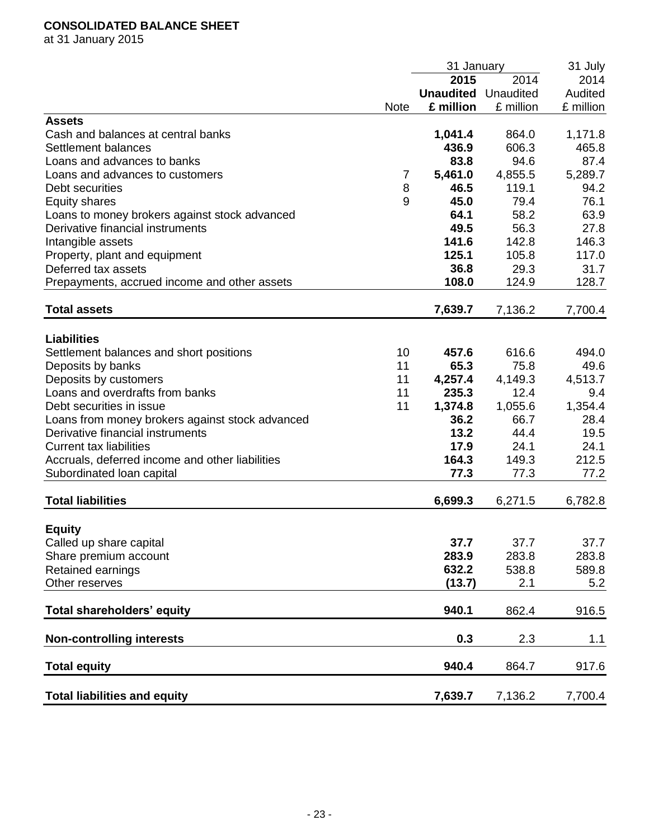## **CONSOLIDATED BALANCE SHEET**

at 31 January 2015

|                                                 |             | 31 January       |           | 31 July   |
|-------------------------------------------------|-------------|------------------|-----------|-----------|
|                                                 |             | 2015             | 2014      | 2014      |
|                                                 |             | <b>Unaudited</b> | Unaudited | Audited   |
|                                                 | <b>Note</b> | £ million        | £ million | £ million |
| <b>Assets</b>                                   |             |                  |           |           |
| Cash and balances at central banks              |             | 1,041.4          | 864.0     | 1,171.8   |
| Settlement balances                             |             | 436.9            | 606.3     | 465.8     |
| Loans and advances to banks                     |             | 83.8             | 94.6      | 87.4      |
| Loans and advances to customers                 | 7           | 5,461.0          | 4,855.5   | 5,289.7   |
| Debt securities                                 | 8           | 46.5             | 119.1     | 94.2      |
| <b>Equity shares</b>                            | 9           | 45.0             | 79.4      | 76.1      |
| Loans to money brokers against stock advanced   |             | 64.1             | 58.2      | 63.9      |
| Derivative financial instruments                |             | 49.5             | 56.3      | 27.8      |
| Intangible assets                               |             | 141.6            | 142.8     | 146.3     |
| Property, plant and equipment                   |             | 125.1            | 105.8     | 117.0     |
| Deferred tax assets                             |             | 36.8             | 29.3      | 31.7      |
| Prepayments, accrued income and other assets    |             | 108.0            | 124.9     | 128.7     |
|                                                 |             |                  |           |           |
| <b>Total assets</b>                             |             | 7,639.7          | 7,136.2   | 7,700.4   |
|                                                 |             |                  |           |           |
| <b>Liabilities</b>                              |             |                  |           |           |
| Settlement balances and short positions         | 10          | 457.6            | 616.6     | 494.0     |
| Deposits by banks                               | 11          | 65.3             | 75.8      | 49.6      |
| Deposits by customers                           | 11          | 4,257.4          | 4,149.3   | 4,513.7   |
| Loans and overdrafts from banks                 | 11          | 235.3            | 12.4      | 9.4       |
| Debt securities in issue                        | 11          | 1,374.8          | 1,055.6   | 1,354.4   |
| Loans from money brokers against stock advanced |             | 36.2             | 66.7      | 28.4      |
| Derivative financial instruments                |             | 13.2             | 44.4      | 19.5      |
| <b>Current tax liabilities</b>                  |             | 17.9             | 24.1      | 24.1      |
| Accruals, deferred income and other liabilities |             | 164.3            | 149.3     | 212.5     |
| Subordinated Ioan capital                       |             | 77.3             | 77.3      | 77.2      |
|                                                 |             |                  |           |           |
| <b>Total liabilities</b>                        |             | 6,699.3          | 6,271.5   | 6,782.8   |
| <b>Equity</b>                                   |             |                  |           |           |
| Called up share capital                         |             | 37.7             | 37.7      | 37.7      |
|                                                 |             | 283.9            |           |           |
| Share premium account                           |             |                  | 283.8     | 283.8     |
| Retained earnings                               |             | 632.2            | 538.8     | 589.8     |
| Other reserves                                  |             | (13.7)           | 2.1       | 5.2       |
| Total shareholders' equity                      |             | 940.1            | 862.4     | 916.5     |
| <b>Non-controlling interests</b>                |             | 0.3              | 2.3       | 1.1       |
|                                                 |             |                  |           |           |
| <b>Total equity</b>                             |             | 940.4            | 864.7     | 917.6     |
| <b>Total liabilities and equity</b>             |             | 7,639.7          | 7,136.2   | 7,700.4   |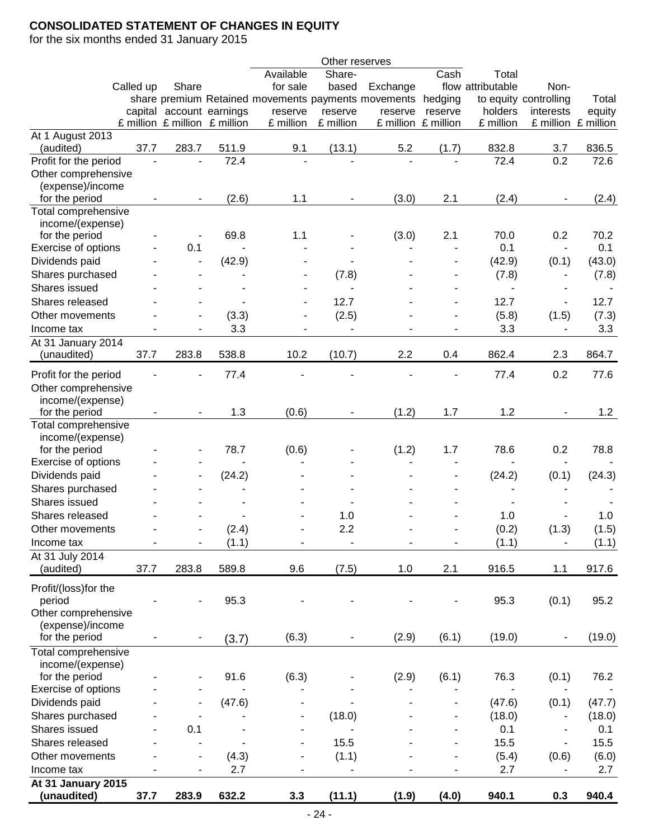## **CONSOLIDATED STATEMENT OF CHANGES IN EQUITY**

for the six months ended 31 January 2015

|                       |           |       |                               |                                                     | Other reserves           |          |                     |                          |                          |                     |
|-----------------------|-----------|-------|-------------------------------|-----------------------------------------------------|--------------------------|----------|---------------------|--------------------------|--------------------------|---------------------|
|                       |           |       |                               | Available                                           | Share-                   |          | Cash                | Total                    |                          |                     |
|                       | Called up | Share |                               | for sale                                            | based                    | Exchange |                     | flow attributable        | Non-                     |                     |
|                       |           |       |                               | share premium Retained movements payments movements |                          |          | hedging             |                          | to equity controlling    | Total               |
|                       |           |       | capital account earnings      | reserve                                             | reserve                  | reserve  | reserve             | holders                  | interests                | equity              |
|                       |           |       | £ million £ million £ million | £ million                                           | £ million                |          | £ million £ million | £ million                |                          | £ million £ million |
| At 1 August 2013      |           |       |                               |                                                     |                          |          |                     |                          |                          |                     |
| (audited)             | 37.7      | 283.7 | 511.9                         | 9.1                                                 | (13.1)                   | 5.2      | (1.7)               | 832.8                    | 3.7                      | 836.5               |
| Profit for the period |           |       | 72.4                          |                                                     |                          |          |                     | 72.4                     | 0.2                      | 72.6                |
| Other comprehensive   |           |       |                               |                                                     |                          |          |                     |                          |                          |                     |
| (expense)/income      |           |       |                               |                                                     |                          |          |                     |                          |                          |                     |
| for the period        |           |       | (2.6)                         | 1.1                                                 |                          | (3.0)    | 2.1                 | (2.4)                    |                          | (2.4)               |
| Total comprehensive   |           |       |                               |                                                     |                          |          |                     |                          |                          |                     |
| income/(expense)      |           |       |                               |                                                     |                          |          |                     |                          |                          |                     |
| for the period        |           |       | 69.8                          | 1.1                                                 |                          | (3.0)    | 2.1                 | 70.0                     | 0.2                      | 70.2                |
| Exercise of options   |           | 0.1   |                               |                                                     |                          |          |                     | 0.1                      | $\blacksquare$           | 0.1                 |
| Dividends paid        |           |       | (42.9)                        |                                                     | $\overline{\phantom{a}}$ |          |                     | (42.9)                   | (0.1)                    | (43.0)              |
| Shares purchased      |           |       |                               |                                                     | (7.8)                    |          |                     | (7.8)                    | $\overline{\phantom{a}}$ | (7.8)               |
| Shares issued         |           |       |                               |                                                     |                          |          |                     | $\overline{\phantom{a}}$ |                          |                     |
| Shares released       |           |       |                               |                                                     | 12.7                     |          |                     | 12.7                     | $\overline{\phantom{a}}$ | 12.7                |
| Other movements       |           |       | (3.3)                         |                                                     | (2.5)                    |          |                     | (5.8)                    | (1.5)                    | (7.3)               |
| Income tax            |           |       | 3.3                           |                                                     |                          |          |                     | 3.3                      |                          | 3.3                 |
| At 31 January 2014    |           |       |                               |                                                     |                          |          |                     |                          |                          |                     |
| (unaudited)           | 37.7      | 283.8 | 538.8                         | 10.2                                                | (10.7)                   | 2.2      | 0.4                 | 862.4                    | 2.3                      | 864.7               |
|                       |           |       |                               |                                                     |                          |          |                     |                          |                          |                     |
| Profit for the period |           |       | 77.4                          |                                                     |                          |          |                     | 77.4                     | 0.2                      | 77.6                |
| Other comprehensive   |           |       |                               |                                                     |                          |          |                     |                          |                          |                     |
| income/(expense)      |           |       |                               |                                                     |                          |          |                     |                          |                          |                     |
| for the period        |           |       | 1.3                           | (0.6)                                               |                          | (1.2)    | 1.7                 | 1.2                      |                          | 1.2                 |
| Total comprehensive   |           |       |                               |                                                     |                          |          |                     |                          |                          |                     |
| income/(expense)      |           |       |                               |                                                     |                          |          |                     |                          |                          |                     |
| for the period        |           |       | 78.7                          | (0.6)                                               |                          | (1.2)    | 1.7                 | 78.6                     | 0.2                      | 78.8                |
| Exercise of options   |           |       |                               |                                                     |                          |          |                     |                          |                          |                     |
| Dividends paid        |           |       | (24.2)                        |                                                     |                          |          |                     | (24.2)                   | (0.1)                    | (24.3)              |
| Shares purchased      |           |       |                               |                                                     |                          |          |                     |                          |                          |                     |
| Shares issued         |           |       |                               |                                                     |                          |          |                     |                          |                          |                     |
| Shares released       |           |       |                               |                                                     | 1.0                      |          |                     | 1.0                      |                          | 1.0                 |
| Other movements       |           |       | (2.4)                         |                                                     | 2.2                      |          |                     | (0.2)                    | (1.3)                    | (1.5)               |
| Income tax            |           |       | (1.1)                         |                                                     |                          |          | -                   | (1.1)                    |                          | (1.1)               |
| At 31 July 2014       |           |       |                               |                                                     |                          |          |                     |                          |                          |                     |
| (audited)             | 37.7      | 283.8 | 589.8                         | 9.6                                                 | (7.5)                    | 1.0      | 2.1                 | 916.5                    | 1.1                      | 917.6               |
|                       |           |       |                               |                                                     |                          |          |                     |                          |                          |                     |
| Profit/(loss)for the  |           |       |                               |                                                     |                          |          |                     |                          |                          |                     |
| period                |           |       | 95.3                          |                                                     |                          |          |                     | 95.3                     | (0.1)                    | 95.2                |
| Other comprehensive   |           |       |                               |                                                     |                          |          |                     |                          |                          |                     |
| (expense)/income      |           |       |                               |                                                     |                          |          |                     |                          |                          |                     |
| for the period        |           |       | (3.7)                         | (6.3)                                               |                          | (2.9)    | (6.1)               | (19.0)                   | -                        | (19.0)              |
| Total comprehensive   |           |       |                               |                                                     |                          |          |                     |                          |                          |                     |
| income/(expense)      |           |       |                               |                                                     |                          |          |                     |                          |                          |                     |
| for the period        |           |       | 91.6                          | (6.3)                                               |                          | (2.9)    | (6.1)               | 76.3                     | (0.1)                    | 76.2                |
| Exercise of options   |           |       |                               |                                                     |                          |          |                     |                          |                          |                     |
| Dividends paid        |           |       | (47.6)                        |                                                     |                          |          |                     | (47.6)                   | (0.1)                    | (47.7)              |
| Shares purchased      |           |       |                               |                                                     | (18.0)                   |          |                     | (18.0)                   | -                        | (18.0)              |
| Shares issued         |           | 0.1   |                               |                                                     |                          |          |                     | 0.1                      |                          | 0.1                 |
| Shares released       |           |       |                               |                                                     | 15.5                     |          |                     | 15.5                     |                          | 15.5                |
| Other movements       |           |       | (4.3)                         |                                                     | (1.1)                    |          |                     | (5.4)                    | (0.6)                    | (6.0)               |
| Income tax            |           |       | 2.7                           |                                                     |                          |          |                     | 2.7                      |                          | 2.7                 |
| At 31 January 2015    |           |       |                               |                                                     |                          |          |                     |                          |                          |                     |
| (unaudited)           | 37.7      | 283.9 | 632.2                         | 3.3                                                 | (11.1)                   | (1.9)    | (4.0)               | 940.1                    | 0.3                      | 940.4               |
|                       |           |       |                               |                                                     |                          |          |                     |                          |                          |                     |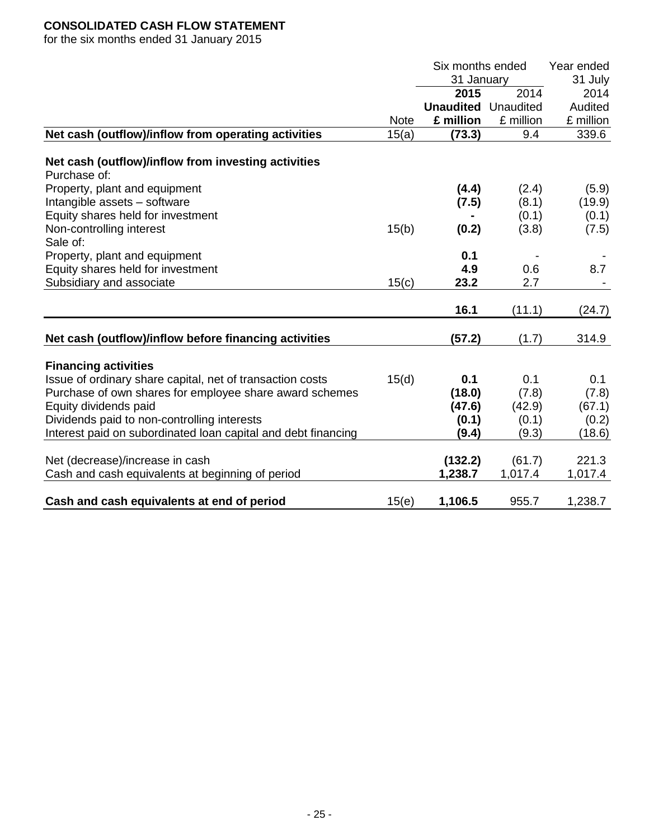## **CONSOLIDATED CASH FLOW STATEMENT**

for the six months ended 31 January 2015

|                                                                                          |             | Six months ended |           | Year ended |
|------------------------------------------------------------------------------------------|-------------|------------------|-----------|------------|
|                                                                                          |             | 31 January       |           | 31 July    |
|                                                                                          |             | 2015             | 2014      | 2014       |
|                                                                                          |             | <b>Unaudited</b> | Unaudited | Audited    |
|                                                                                          | <b>Note</b> | £ million        | £ million | £ million  |
| Net cash (outflow)/inflow from operating activities                                      | 15(a)       | (73.3)           | 9.4       | 339.6      |
| Net cash (outflow)/inflow from investing activities                                      |             |                  |           |            |
| Purchase of:                                                                             |             |                  |           |            |
| Property, plant and equipment                                                            |             | (4.4)            | (2.4)     | (5.9)      |
| Intangible assets - software                                                             |             | (7.5)            | (8.1)     | (19.9)     |
| Equity shares held for investment                                                        |             |                  | (0.1)     | (0.1)      |
| Non-controlling interest                                                                 | 15(b)       | (0.2)            | (3.8)     | (7.5)      |
| Sale of:                                                                                 |             |                  |           |            |
| Property, plant and equipment                                                            |             | 0.1              |           |            |
| Equity shares held for investment                                                        |             | 4.9              | 0.6       | 8.7        |
| Subsidiary and associate                                                                 | 15(c)       | 23.2             | 2.7       |            |
|                                                                                          |             | 16.1             | (11.1)    | (24.7)     |
|                                                                                          |             |                  |           |            |
| Net cash (outflow)/inflow before financing activities                                    |             | (57.2)           | (1.7)     | 314.9      |
|                                                                                          |             |                  |           |            |
| <b>Financing activities</b><br>Issue of ordinary share capital, net of transaction costs | 15(d)       | 0.1              | 0.1       | 0.1        |
| Purchase of own shares for employee share award schemes                                  |             | (18.0)           | (7.8)     | (7.8)      |
| Equity dividends paid                                                                    |             | (47.6)           | (42.9)    | (67.1)     |
| Dividends paid to non-controlling interests                                              |             | (0.1)            | (0.1)     | (0.2)      |
| Interest paid on subordinated loan capital and debt financing                            |             | (9.4)            | (9.3)     | (18.6)     |
|                                                                                          |             |                  |           |            |
| Net (decrease)/increase in cash                                                          |             | (132.2)          | (61.7)    | 221.3      |
| Cash and cash equivalents at beginning of period                                         |             | 1,238.7          | 1,017.4   | 1,017.4    |
|                                                                                          |             |                  |           |            |
| Cash and cash equivalents at end of period                                               | 15(e)       | 1,106.5          | 955.7     | 1,238.7    |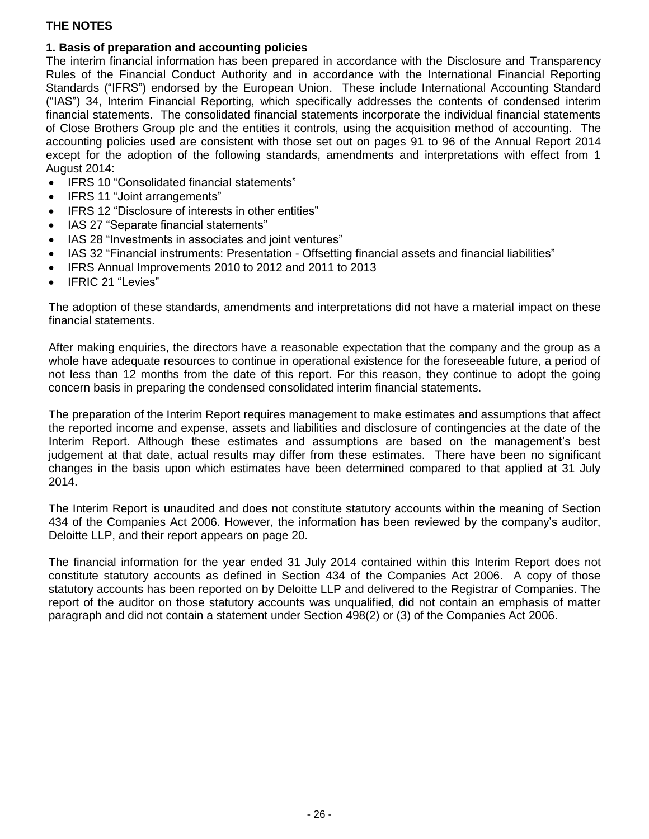## **1. Basis of preparation and accounting policies**

The interim financial information has been prepared in accordance with the Disclosure and Transparency Rules of the Financial Conduct Authority and in accordance with the International Financial Reporting Standards ("IFRS") endorsed by the European Union. These include International Accounting Standard ("IAS") 34, Interim Financial Reporting, which specifically addresses the contents of condensed interim financial statements. The consolidated financial statements incorporate the individual financial statements of Close Brothers Group plc and the entities it controls, using the acquisition method of accounting. The accounting policies used are consistent with those set out on pages 91 to 96 of the Annual Report 2014 except for the adoption of the following standards, amendments and interpretations with effect from 1 August 2014:

- IFRS 10 "Consolidated financial statements"
- IFRS 11 "Joint arrangements"
- IFRS 12 "Disclosure of interests in other entities"
- IAS 27 "Separate financial statements"
- IAS 28 "Investments in associates and joint ventures"
- IAS 32 "Financial instruments: Presentation Offsetting financial assets and financial liabilities"
- IFRS Annual Improvements 2010 to 2012 and 2011 to 2013
- IFRIC 21 "Levies"

The adoption of these standards, amendments and interpretations did not have a material impact on these financial statements.

After making enquiries, the directors have a reasonable expectation that the company and the group as a whole have adequate resources to continue in operational existence for the foreseeable future, a period of not less than 12 months from the date of this report. For this reason, they continue to adopt the going concern basis in preparing the condensed consolidated interim financial statements.

The preparation of the Interim Report requires management to make estimates and assumptions that affect the reported income and expense, assets and liabilities and disclosure of contingencies at the date of the Interim Report. Although these estimates and assumptions are based on the management's best judgement at that date, actual results may differ from these estimates. There have been no significant changes in the basis upon which estimates have been determined compared to that applied at 31 July 2014.

The Interim Report is unaudited and does not constitute statutory accounts within the meaning of Section 434 of the Companies Act 2006. However, the information has been reviewed by the company's auditor, Deloitte LLP, and their report appears on page 20.

The financial information for the year ended 31 July 2014 contained within this Interim Report does not constitute statutory accounts as defined in Section 434 of the Companies Act 2006. A copy of those statutory accounts has been reported on by Deloitte LLP and delivered to the Registrar of Companies. The report of the auditor on those statutory accounts was unqualified, did not contain an emphasis of matter paragraph and did not contain a statement under Section 498(2) or (3) of the Companies Act 2006.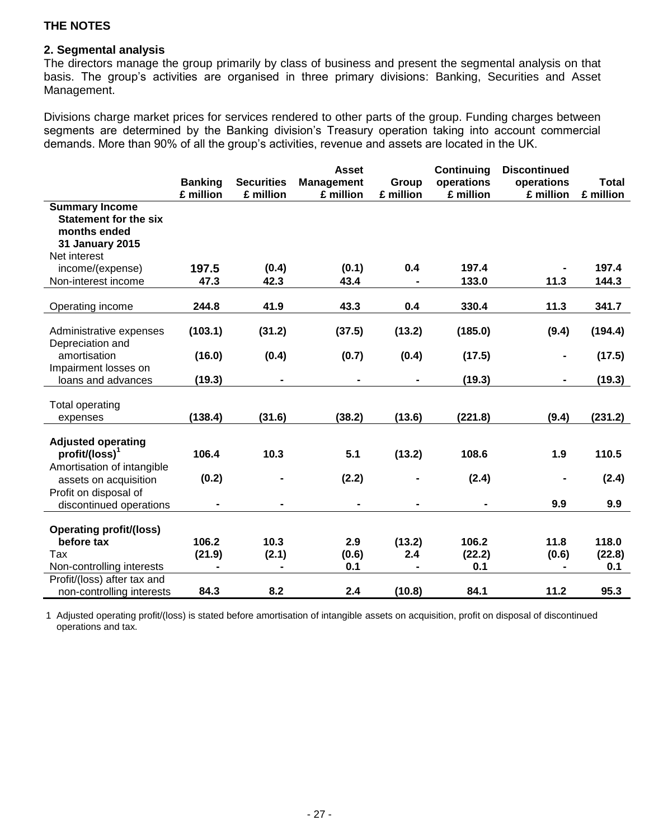### **2. Segmental analysis**

The directors manage the group primarily by class of business and present the segmental analysis on that basis. The group's activities are organised in three primary divisions: Banking, Securities and Asset Management.

Divisions charge market prices for services rendered to other parts of the group. Funding charges between segments are determined by the Banking division's Treasury operation taking into account commercial demands. More than 90% of all the group's activities, revenue and assets are located in the UK.

|                                                                                                          |                 |                   | <b>Asset</b>      |               | <b>Continuing</b> | <b>Discontinued</b> |                 |
|----------------------------------------------------------------------------------------------------------|-----------------|-------------------|-------------------|---------------|-------------------|---------------------|-----------------|
|                                                                                                          | <b>Banking</b>  | <b>Securities</b> | <b>Management</b> | Group         | operations        | operations          | <b>Total</b>    |
|                                                                                                          | £ million       | £ million         | £ million         | £ million     | £ million         | £ million           | £ million       |
| <b>Summary Income</b><br><b>Statement for the six</b><br>months ended<br>31 January 2015<br>Net interest |                 |                   |                   |               |                   |                     |                 |
| income/(expense)                                                                                         | 197.5           | (0.4)             | (0.1)             | 0.4           | 197.4             |                     | 197.4           |
| Non-interest income                                                                                      | 47.3            | 42.3              | 43.4              |               | 133.0             | 11.3                | 144.3           |
|                                                                                                          |                 |                   |                   |               |                   |                     |                 |
| Operating income                                                                                         | 244.8           | 41.9              | 43.3              | 0.4           | 330.4             | 11.3                | 341.7           |
| Administrative expenses<br>Depreciation and                                                              | (103.1)         | (31.2)            | (37.5)            | (13.2)        | (185.0)           | (9.4)               | (194.4)         |
| amortisation<br>Impairment losses on                                                                     | (16.0)          | (0.4)             | (0.7)             | (0.4)         | (17.5)            |                     | (17.5)          |
| loans and advances                                                                                       | (19.3)          |                   |                   |               | (19.3)            | $\blacksquare$      | (19.3)          |
| <b>Total operating</b><br>expenses                                                                       | (138.4)         | (31.6)            | (38.2)            | (13.6)        | (221.8)           | (9.4)               | (231.2)         |
| <b>Adjusted operating</b><br>$profit/(loss)^1$<br>Amortisation of intangible                             | 106.4           | 10.3              | 5.1               | (13.2)        | 108.6             | 1.9                 | 110.5           |
| assets on acquisition                                                                                    | (0.2)           |                   | (2.2)             |               | (2.4)             |                     | (2.4)           |
| Profit on disposal of<br>discontinued operations                                                         |                 |                   |                   |               |                   | 9.9                 | 9.9             |
| <b>Operating profit/(loss)</b><br>before tax<br>Tax                                                      | 106.2<br>(21.9) | 10.3<br>(2.1)     | 2.9<br>(0.6)      | (13.2)<br>2.4 | 106.2<br>(22.2)   | 11.8<br>(0.6)       | 118.0<br>(22.8) |
| Non-controlling interests                                                                                |                 |                   | 0.1               |               | 0.1               |                     | 0.1             |
| Profit/(loss) after tax and<br>non-controlling interests                                                 | 84.3            | 8.2               | 2.4               | (10.8)        | 84.1              | 11.2                | 95.3            |

1 Adjusted operating profit/(loss) is stated before amortisation of intangible assets on acquisition, profit on disposal of discontinued operations and tax.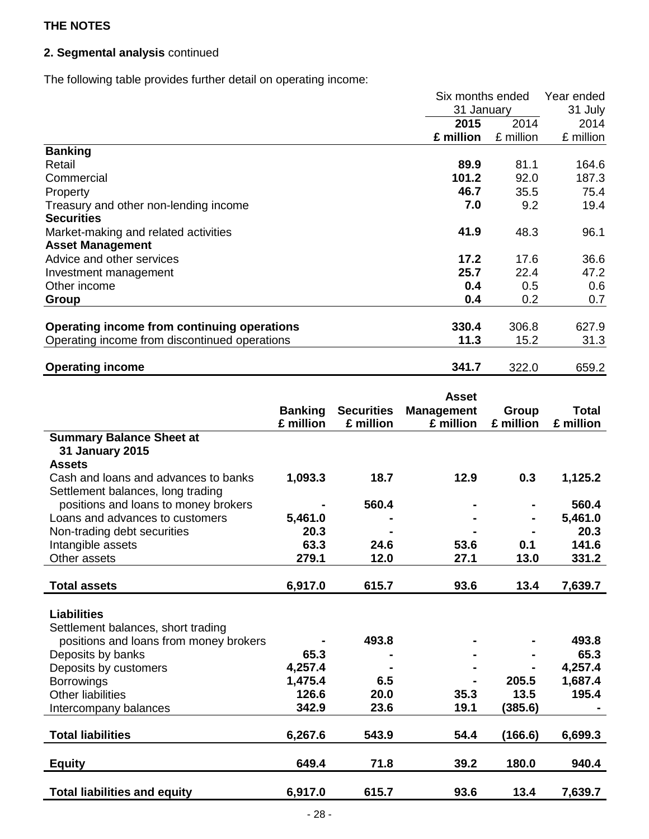## **2. Segmental analysis** continued

The following table provides further detail on operating income:

|                                               | Six months ended | Year ended |           |
|-----------------------------------------------|------------------|------------|-----------|
|                                               | 31 January       |            | 31 July   |
|                                               | 2014<br>2015     |            | 2014      |
|                                               | £ million        | £ million  | £ million |
| <b>Banking</b>                                |                  |            |           |
| Retail                                        | 89.9             | 81.1       | 164.6     |
| Commercial                                    | 101.2            | 92.0       | 187.3     |
| Property                                      | 46.7             | 35.5       | 75.4      |
| Treasury and other non-lending income         | 7.0              | 9.2        | 19.4      |
| <b>Securities</b>                             |                  |            |           |
| Market-making and related activities          | 41.9             | 48.3       | 96.1      |
| <b>Asset Management</b>                       |                  |            |           |
| Advice and other services                     | 17.2             | 17.6       | 36.6      |
| Investment management                         | 25.7             | 22.4       | 47.2      |
| Other income                                  | 0.4              | 0.5        | 0.6       |
| Group                                         | 0.4              | 0.2        | 0.7       |
|                                               |                  |            |           |
| Operating income from continuing operations   | 330.4            | 306.8      | 627.9     |
| Operating income from discontinued operations | 11.3             | 15.2       | 31.3      |
| <b>Operating income</b>                       | 341.7            | 322.0      | 659.2     |

|                                        | <b>Banking</b> | <b>Securities</b> | <b>Asset</b><br><b>Management</b> | Group     | <b>Total</b> |
|----------------------------------------|----------------|-------------------|-----------------------------------|-----------|--------------|
|                                        | £ million      | £ million         | £ million                         | £ million | £ million    |
| <b>Summary Balance Sheet at</b>        |                |                   |                                   |           |              |
| 31 January 2015<br><b>Assets</b>       |                |                   |                                   |           |              |
| Cash and loans and advances to banks   | 1,093.3        | 18.7              | 12.9                              | 0.3       | 1,125.2      |
| Settlement balances, long trading      |                |                   |                                   |           |              |
| positions and loans to money brokers   |                | 560.4             |                                   |           | 560.4        |
| Loans and advances to customers        | 5,461.0        |                   |                                   |           | 5,461.0      |
| Non-trading debt securities            | 20.3           |                   |                                   |           | 20.3         |
| Intangible assets                      | 63.3           | 24.6              | 53.6                              | 0.1       | 141.6        |
| Other assets                           | 279.1          | 12.0              | 27.1                              | 13.0      | 331.2        |
|                                        |                |                   |                                   |           |              |
| <b>Total assets</b>                    | 6,917.0        | 615.7             | 93.6                              | 13.4      | 7,639.7      |
|                                        |                |                   |                                   |           |              |
| <b>Liabilities</b>                     |                |                   |                                   |           |              |
| Settlement balances, short trading     |                |                   |                                   |           |              |
| positions and loans from money brokers |                | 493.8             |                                   |           | 493.8        |
| Deposits by banks                      | 65.3           |                   |                                   |           | 65.3         |
| Deposits by customers                  | 4,257.4        |                   |                                   |           | 4,257.4      |
| <b>Borrowings</b>                      | 1,475.4        | 6.5               |                                   | 205.5     | 1,687.4      |
| <b>Other liabilities</b>               | 126.6          | 20.0              | 35.3                              | 13.5      | 195.4        |
| Intercompany balances                  | 342.9          | 23.6              | 19.1                              | (385.6)   |              |
|                                        |                |                   |                                   |           |              |
| <b>Total liabilities</b>               | 6,267.6        | 543.9             | 54.4                              | (166.6)   | 6,699.3      |
| <b>Equity</b>                          | 649.4          | 71.8              | 39.2                              | 180.0     | 940.4        |
| <b>Total liabilities and equity</b>    | 6,917.0        | 615.7             | 93.6                              | 13.4      | 7,639.7      |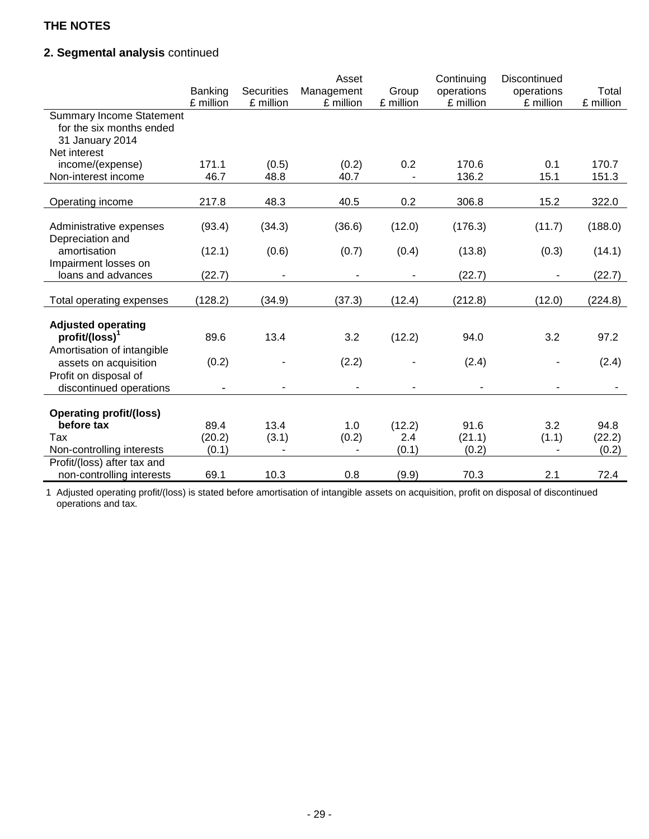## **2. Segmental analysis** continued

|                                                                                                | Banking<br>£ million | <b>Securities</b><br>£ million | Asset<br>Management<br>£ million | Group<br>£ million | Continuing<br>operations<br>£ million | Discontinued<br>operations<br>£ million | Total<br>£ million |
|------------------------------------------------------------------------------------------------|----------------------|--------------------------------|----------------------------------|--------------------|---------------------------------------|-----------------------------------------|--------------------|
| <b>Summary Income Statement</b><br>for the six months ended<br>31 January 2014<br>Net interest |                      |                                |                                  |                    |                                       |                                         |                    |
| income/(expense)<br>Non-interest income                                                        | 171.1<br>46.7        | (0.5)<br>48.8                  | (0.2)<br>40.7                    | 0.2                | 170.6<br>136.2                        | 0.1<br>15.1                             | 170.7<br>151.3     |
| Operating income                                                                               | 217.8                | 48.3                           | 40.5                             | 0.2                | 306.8                                 | 15.2                                    | 322.0              |
| Administrative expenses                                                                        | (93.4)               | (34.3)                         | (36.6)                           | (12.0)             | (176.3)                               | (11.7)                                  | (188.0)            |
| Depreciation and<br>amortisation<br>Impairment losses on                                       | (12.1)               | (0.6)                          | (0.7)                            | (0.4)              | (13.8)                                | (0.3)                                   | (14.1)             |
| loans and advances                                                                             | (22.7)               |                                |                                  |                    | (22.7)                                |                                         | (22.7)             |
| Total operating expenses                                                                       | (128.2)              | (34.9)                         | (37.3)                           | (12.4)             | (212.8)                               | (12.0)                                  | (224.8)            |
| <b>Adjusted operating</b><br>profit/(loss) <sup>1</sup><br>Amortisation of intangible          | 89.6                 | 13.4                           | 3.2                              | (12.2)             | 94.0                                  | 3.2                                     | 97.2               |
| assets on acquisition<br>Profit on disposal of                                                 | (0.2)                |                                | (2.2)                            |                    | (2.4)                                 |                                         | (2.4)              |
| discontinued operations                                                                        |                      | $\qquad \qquad \blacksquare$   | $\overline{a}$                   | ۰                  | $\overline{a}$                        |                                         |                    |
| <b>Operating profit/(loss)</b><br>before tax                                                   | 89.4                 | 13.4                           | 1.0                              | (12.2)             | 91.6                                  | 3.2                                     | 94.8               |
| Tax<br>Non-controlling interests                                                               | (20.2)<br>(0.1)      | (3.1)                          | (0.2)                            | 2.4<br>(0.1)       | (21.1)<br>(0.2)                       | (1.1)                                   | (22.2)<br>(0.2)    |
| Profit/(loss) after tax and                                                                    |                      |                                |                                  |                    |                                       |                                         |                    |
| non-controlling interests                                                                      | 69.1                 | 10.3                           | 0.8                              | (9.9)              | 70.3                                  | 2.1                                     | 72.4               |

1 Adjusted operating profit/(loss) is stated before amortisation of intangible assets on acquisition, profit on disposal of discontinued operations and tax.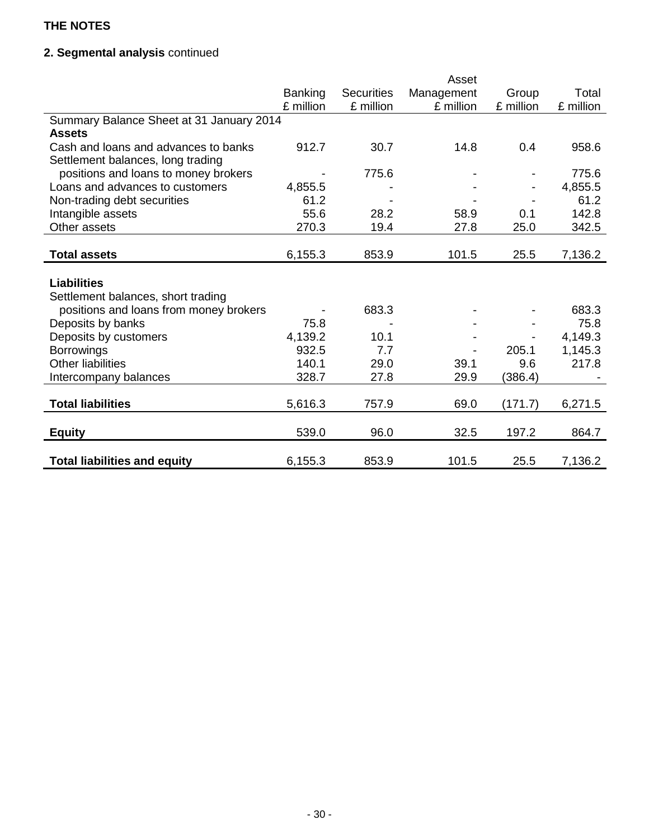## **2. Segmental analysis** continued

|                                          |                |                   | Asset      |           |           |
|------------------------------------------|----------------|-------------------|------------|-----------|-----------|
|                                          | <b>Banking</b> | <b>Securities</b> | Management | Group     | Total     |
|                                          | £ million      | £ million         | £ million  | £ million | £ million |
| Summary Balance Sheet at 31 January 2014 |                |                   |            |           |           |
| <b>Assets</b>                            |                |                   |            |           |           |
| Cash and loans and advances to banks     | 912.7          | 30.7              | 14.8       | 0.4       | 958.6     |
| Settlement balances, long trading        |                |                   |            |           |           |
| positions and loans to money brokers     |                | 775.6             |            |           | 775.6     |
| Loans and advances to customers          | 4,855.5        |                   |            |           | 4,855.5   |
| Non-trading debt securities              | 61.2           |                   |            |           | 61.2      |
| Intangible assets                        | 55.6           | 28.2              | 58.9       | 0.1       | 142.8     |
| Other assets                             | 270.3          | 19.4              | 27.8       | 25.0      | 342.5     |
|                                          |                |                   |            |           |           |
| <b>Total assets</b>                      | 6,155.3        | 853.9             | 101.5      | 25.5      | 7,136.2   |
|                                          |                |                   |            |           |           |
| <b>Liabilities</b>                       |                |                   |            |           |           |
| Settlement balances, short trading       |                |                   |            |           |           |
| positions and loans from money brokers   |                | 683.3             |            |           | 683.3     |
| Deposits by banks                        | 75.8           |                   |            |           | 75.8      |
| Deposits by customers                    | 4,139.2        | 10.1              |            |           | 4,149.3   |
| <b>Borrowings</b>                        | 932.5          | 7.7               |            | 205.1     | 1,145.3   |
| <b>Other liabilities</b>                 | 140.1          | 29.0              | 39.1       | 9.6       | 217.8     |
| Intercompany balances                    | 328.7          | 27.8              | 29.9       | (386.4)   |           |
|                                          |                |                   |            |           |           |
| <b>Total liabilities</b>                 | 5,616.3        | 757.9             | 69.0       | (171.7)   | 6,271.5   |
|                                          |                |                   |            |           |           |
| <b>Equity</b>                            | 539.0          | 96.0              | 32.5       | 197.2     | 864.7     |
|                                          |                |                   |            |           |           |
| <b>Total liabilities and equity</b>      | 6,155.3        | 853.9             | 101.5      | 25.5      | 7,136.2   |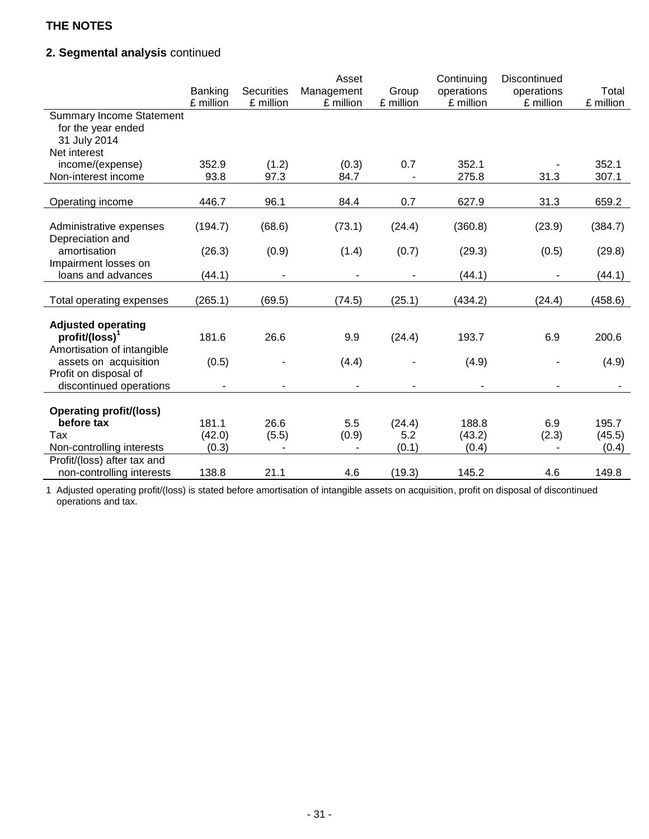## **2. Segmental analysis** continued

|                                 | Banking<br>£ million | <b>Securities</b><br>£ million | Asset<br>Management<br>£ million | Group<br>£ million | Continuing<br>operations<br>£ million | Discontinued<br>operations<br>£ million | Total<br>£ million |
|---------------------------------|----------------------|--------------------------------|----------------------------------|--------------------|---------------------------------------|-----------------------------------------|--------------------|
|                                 |                      |                                |                                  |                    |                                       |                                         |                    |
| <b>Summary Income Statement</b> |                      |                                |                                  |                    |                                       |                                         |                    |
| for the year ended              |                      |                                |                                  |                    |                                       |                                         |                    |
| 31 July 2014<br>Net interest    |                      |                                |                                  |                    |                                       |                                         |                    |
|                                 |                      |                                |                                  |                    | 352.1                                 |                                         | 352.1              |
| income/(expense)                | 352.9<br>93.8        | (1.2)                          | (0.3)                            | 0.7                | 275.8                                 |                                         | 307.1              |
| Non-interest income             |                      | 97.3                           | 84.7                             |                    |                                       | 31.3                                    |                    |
| Operating income                | 446.7                | 96.1                           | 84.4                             | 0.7                | 627.9                                 | 31.3                                    | 659.2              |
|                                 |                      |                                |                                  |                    |                                       |                                         |                    |
| Administrative expenses         | (194.7)              | (68.6)                         | (73.1)                           | (24.4)             | (360.8)                               | (23.9)                                  | (384.7)            |
| Depreciation and                |                      |                                |                                  |                    |                                       |                                         |                    |
| amortisation                    | (26.3)               | (0.9)                          | (1.4)                            | (0.7)              | (29.3)                                | (0.5)                                   | (29.8)             |
| Impairment losses on            |                      |                                |                                  |                    |                                       |                                         |                    |
| loans and advances              | (44.1)               | $\overline{\phantom{a}}$       | $\qquad \qquad \blacksquare$     | ۰                  | (44.1)                                | $\blacksquare$                          | (44.1)             |
| Total operating expenses        | (265.1)              | (69.5)                         | (74.5)                           | (25.1)             | (434.2)                               | (24.4)                                  | (458.6)            |
|                                 |                      |                                |                                  |                    |                                       |                                         |                    |
| <b>Adjusted operating</b>       |                      |                                |                                  |                    |                                       |                                         |                    |
| $profit/(loss)^1$               | 181.6                | 26.6                           | 9.9                              | (24.4)             | 193.7                                 | 6.9                                     | 200.6              |
| Amortisation of intangible      |                      |                                |                                  |                    |                                       |                                         |                    |
| assets on acquisition           | (0.5)                |                                | (4.4)                            |                    | (4.9)                                 |                                         | (4.9)              |
| Profit on disposal of           |                      |                                |                                  |                    |                                       |                                         |                    |
| discontinued operations         |                      | $\overline{\phantom{a}}$       |                                  |                    |                                       | $\blacksquare$                          |                    |
|                                 |                      |                                |                                  |                    |                                       |                                         |                    |
| <b>Operating profit/(loss)</b>  |                      |                                |                                  |                    |                                       |                                         |                    |
| before tax                      | 181.1                | 26.6                           | 5.5                              | (24.4)             | 188.8                                 | 6.9                                     | 195.7              |
| Tax                             | (42.0)               | (5.5)                          | (0.9)                            | 5.2                | (43.2)                                | (2.3)                                   | (45.5)             |
| Non-controlling interests       | (0.3)                |                                |                                  | (0.1)              | (0.4)                                 |                                         | (0.4)              |
| Profit/(loss) after tax and     |                      |                                |                                  |                    |                                       |                                         |                    |
| non-controlling interests       | 138.8                | 21.1                           | 4.6                              | (19.3)             | 145.2                                 | 4.6                                     | 149.8              |

1 Adjusted operating profit/(loss) is stated before amortisation of intangible assets on acquisition, profit on disposal of discontinued operations and tax.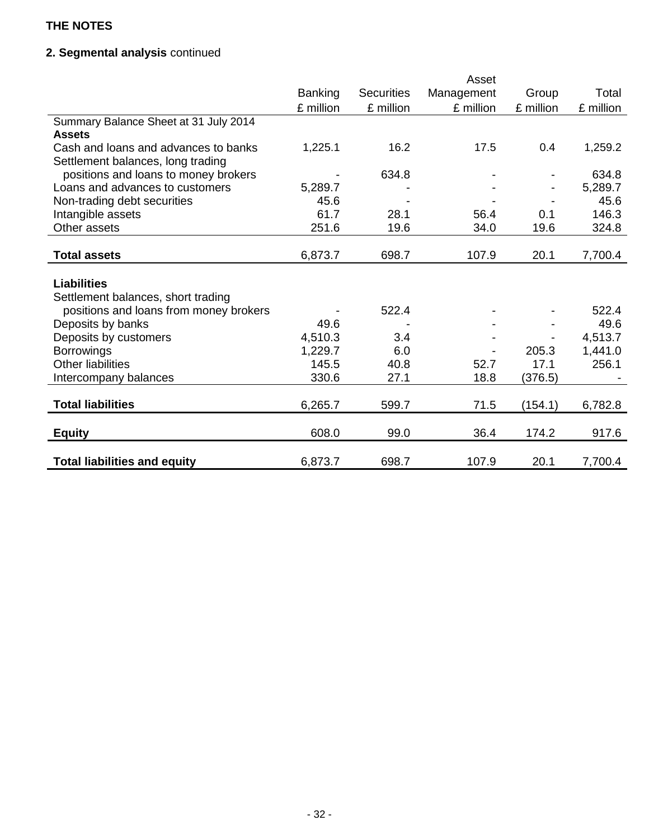## **2. Segmental analysis** continued

|                                        | Asset          |                   |            |           |           |
|----------------------------------------|----------------|-------------------|------------|-----------|-----------|
|                                        | <b>Banking</b> | <b>Securities</b> | Management | Group     | Total     |
|                                        | £ million      | £ million         | £ million  | £ million | £ million |
| Summary Balance Sheet at 31 July 2014  |                |                   |            |           |           |
| <b>Assets</b>                          |                |                   |            |           |           |
| Cash and loans and advances to banks   | 1,225.1        | 16.2              | 17.5       | 0.4       | 1,259.2   |
| Settlement balances, long trading      |                |                   |            |           |           |
| positions and loans to money brokers   |                | 634.8             |            |           | 634.8     |
| Loans and advances to customers        | 5,289.7        |                   |            |           | 5,289.7   |
| Non-trading debt securities            | 45.6           |                   |            |           | 45.6      |
| Intangible assets                      | 61.7           | 28.1              | 56.4       | 0.1       | 146.3     |
| Other assets                           | 251.6          | 19.6              | 34.0       | 19.6      | 324.8     |
|                                        |                |                   |            |           |           |
| <b>Total assets</b>                    | 6,873.7        | 698.7             | 107.9      | 20.1      | 7,700.4   |
|                                        |                |                   |            |           |           |
| <b>Liabilities</b>                     |                |                   |            |           |           |
| Settlement balances, short trading     |                |                   |            |           |           |
| positions and loans from money brokers |                | 522.4             |            |           | 522.4     |
| Deposits by banks                      | 49.6           |                   |            |           | 49.6      |
| Deposits by customers                  | 4,510.3        | 3.4               |            |           | 4,513.7   |
| <b>Borrowings</b>                      | 1,229.7        | 6.0               |            | 205.3     | 1,441.0   |
| <b>Other liabilities</b>               | 145.5          | 40.8              | 52.7       | 17.1      | 256.1     |
| Intercompany balances                  | 330.6          | 27.1              | 18.8       | (376.5)   |           |
|                                        |                |                   |            |           |           |
| <b>Total liabilities</b>               | 6,265.7        | 599.7             | 71.5       | (154.1)   | 6,782.8   |
|                                        |                |                   |            |           |           |
| <b>Equity</b>                          | 608.0          | 99.0              | 36.4       | 174.2     | 917.6     |
|                                        |                |                   |            |           |           |
| <b>Total liabilities and equity</b>    | 6,873.7        | 698.7             | 107.9      | 20.1      | 7,700.4   |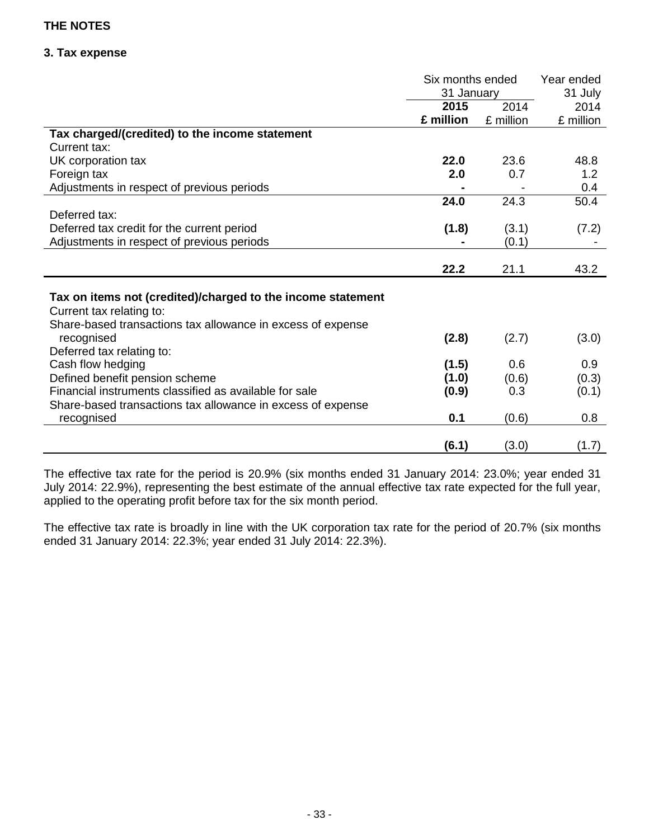## **3. Tax expense**

|                                                             | Six months ended |           | Year ended |
|-------------------------------------------------------------|------------------|-----------|------------|
|                                                             | 31 January       |           | 31 July    |
|                                                             | 2015             | 2014      | 2014       |
|                                                             | £ million        | £ million | £ million  |
| Tax charged/(credited) to the income statement              |                  |           |            |
| Current tax:                                                |                  |           |            |
| UK corporation tax                                          | 22.0             | 23.6      | 48.8       |
| Foreign tax                                                 | 2.0              | 0.7       | 1.2        |
| Adjustments in respect of previous periods                  |                  |           | 0.4        |
|                                                             | 24.0             | 24.3      | 50.4       |
| Deferred tax:                                               |                  |           |            |
| Deferred tax credit for the current period                  | (1.8)            | (3.1)     | (7.2)      |
| Adjustments in respect of previous periods                  |                  | (0.1)     |            |
|                                                             |                  |           |            |
|                                                             | 22.2             | 21.1      | 43.2       |
|                                                             |                  |           |            |
| Tax on items not (credited)/charged to the income statement |                  |           |            |
| Current tax relating to:                                    |                  |           |            |
| Share-based transactions tax allowance in excess of expense |                  |           |            |
| recognised                                                  | (2.8)            | (2.7)     | (3.0)      |
| Deferred tax relating to:                                   |                  |           |            |
| Cash flow hedging                                           | (1.5)            | 0.6       | 0.9        |
| Defined benefit pension scheme                              | (1.0)            | (0.6)     | (0.3)      |
| Financial instruments classified as available for sale      | (0.9)            | 0.3       | (0.1)      |
| Share-based transactions tax allowance in excess of expense |                  |           |            |
| recognised                                                  | 0.1              | (0.6)     | 0.8        |
|                                                             |                  |           |            |
|                                                             | (6.1)            | (3.0)     | (1.7)      |

The effective tax rate for the period is 20.9% (six months ended 31 January 2014: 23.0%; year ended 31 July 2014: 22.9%), representing the best estimate of the annual effective tax rate expected for the full year, applied to the operating profit before tax for the six month period.

The effective tax rate is broadly in line with the UK corporation tax rate for the period of 20.7% (six months ended 31 January 2014: 22.3%; year ended 31 July 2014: 22.3%).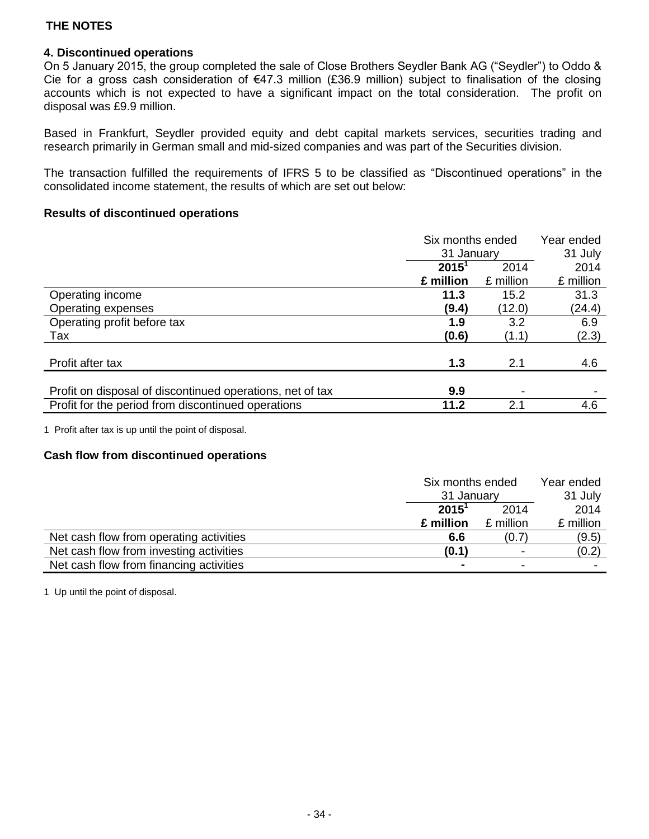### **4. Discontinued operations**

On 5 January 2015, the group completed the sale of Close Brothers Seydler Bank AG ("Seydler") to Oddo & Cie for a gross cash consideration of €47.3 million (£36.9 million) subject to finalisation of the closing accounts which is not expected to have a significant impact on the total consideration. The profit on disposal was £9.9 million.

Based in Frankfurt, Seydler provided equity and debt capital markets services, securities trading and research primarily in German small and mid-sized companies and was part of the Securities division.

The transaction fulfilled the requirements of IFRS 5 to be classified as "Discontinued operations" in the consolidated income statement, the results of which are set out below:

#### **Results of discontinued operations**

|                                                           | Six months ended |           | Year ended |
|-----------------------------------------------------------|------------------|-----------|------------|
|                                                           | 31 January       |           | 31 July    |
|                                                           | $2015^1$         | 2014      | 2014       |
|                                                           | £ million        | £ million | £ million  |
| Operating income                                          | 11.3             | 15.2      | 31.3       |
| Operating expenses                                        | (9.4)            | (12.0)    | (24.4)     |
| Operating profit before tax                               | 1.9              | 3.2       | 6.9        |
| Tax                                                       | (0.6)            | (1.1)     | (2.3)      |
|                                                           |                  |           |            |
| Profit after tax                                          | 1.3              | 2.1       | 4.6        |
|                                                           |                  |           |            |
| Profit on disposal of discontinued operations, net of tax | 9.9              | ٠         |            |
| Profit for the period from discontinued operations        | 11.2             | 2.1       | 4.6        |

1 Profit after tax is up until the point of disposal.

#### **Cash flow from discontinued operations**

|                                         | Six months ended |                          | Year ended |
|-----------------------------------------|------------------|--------------------------|------------|
|                                         | 31 January       |                          | 31 July    |
|                                         | $2015^1$<br>2014 |                          | 2014       |
|                                         | £ million        | £ million                | £ million  |
| Net cash flow from operating activities | 6.6              | (0.7                     | (9.5)      |
| Net cash flow from investing activities | (0.1)            | $\overline{\phantom{a}}$ | (0.2)      |
| Net cash flow from financing activities |                  |                          |            |

1 Up until the point of disposal.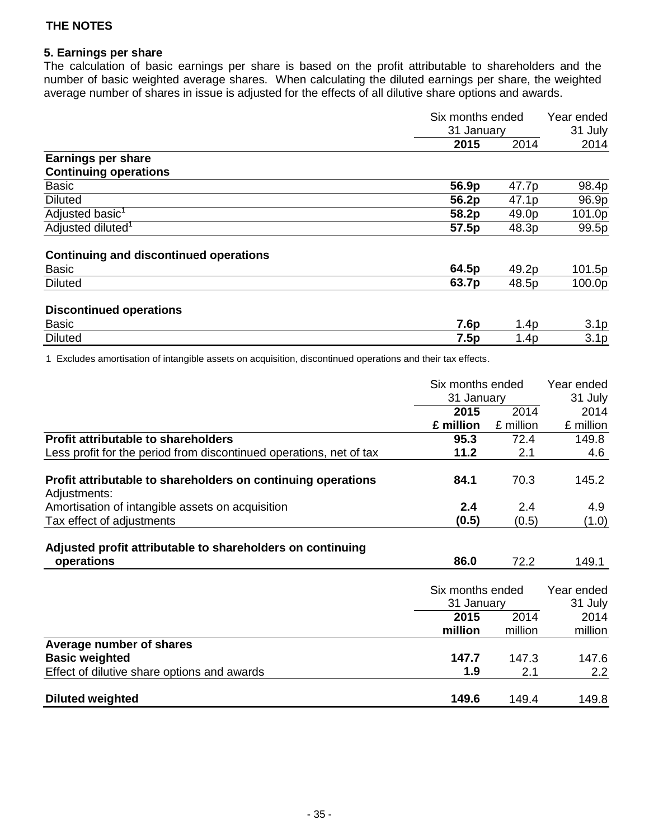## **5. Earnings per share**

The calculation of basic earnings per share is based on the profit attributable to shareholders and the number of basic weighted average shares. When calculating the diluted earnings per share, the weighted average number of shares in issue is adjusted for the effects of all dilutive share options and awards.

|                                               | Six months ended<br>31 January |       | Year ended       |  |
|-----------------------------------------------|--------------------------------|-------|------------------|--|
|                                               |                                |       | 31 July          |  |
|                                               | 2015                           | 2014  | 2014             |  |
| <b>Earnings per share</b>                     |                                |       |                  |  |
| <b>Continuing operations</b>                  |                                |       |                  |  |
| <b>Basic</b>                                  | 56.9p                          | 47.7p | 98.4p            |  |
| <b>Diluted</b>                                | 56.2p                          | 47.1p | 96.9p            |  |
| Adjusted basic <sup>1</sup>                   | 58.2p                          | 49.0p | 101.0p           |  |
| Adjusted diluted <sup>1</sup>                 | 57.5p                          | 48.3p | 99.5p            |  |
| <b>Continuing and discontinued operations</b> |                                |       |                  |  |
| <b>Basic</b>                                  | 64.5p                          | 49.2p | 101.5p           |  |
| <b>Diluted</b>                                | 63.7p                          | 48.5p | 100.0p           |  |
| <b>Discontinued operations</b>                |                                |       |                  |  |
| <b>Basic</b>                                  | 7.6p                           | 1.4p  | 3.1 <sub>p</sub> |  |
| <b>Diluted</b>                                | 7.5p                           | 1.4p  | 3.1 <sub>p</sub> |  |

1 Excludes amortisation of intangible assets on acquisition, discontinued operations and their tax effects.

|                                                                              | Six months ended               |           | Year ended            |
|------------------------------------------------------------------------------|--------------------------------|-----------|-----------------------|
|                                                                              | 31 January                     |           | 31 July               |
|                                                                              | 2015                           | 2014      | 2014                  |
|                                                                              | £ million                      | £ million | £ million             |
| Profit attributable to shareholders                                          | 95.3                           | 72.4      | 149.8                 |
| Less profit for the period from discontinued operations, net of tax          | 11.2                           | 2.1       | 4.6                   |
| Profit attributable to shareholders on continuing operations<br>Adjustments: | 84.1                           | 70.3      | 145.2                 |
| Amortisation of intangible assets on acquisition                             | 2.4                            | 2.4       | 4.9                   |
| Tax effect of adjustments                                                    | (0.5)                          | (0.5)     | (1.0)                 |
| Adjusted profit attributable to shareholders on continuing                   |                                |           |                       |
| operations                                                                   | 86.0                           | 72.2      | 149.1                 |
|                                                                              | Six months ended<br>31 January |           | Year ended<br>31 July |
|                                                                              | 2015                           | 2014      | 2014                  |
|                                                                              | million                        | million   | million               |
| Average number of shares                                                     |                                |           |                       |
| <b>Basic weighted</b>                                                        | 147.7                          | 147.3     | 147.6                 |
| Effect of dilutive share options and awards                                  | 1.9                            | 2.1       | 2.2                   |
| <b>Diluted weighted</b>                                                      | 149.6                          | 149.4     | 149.8                 |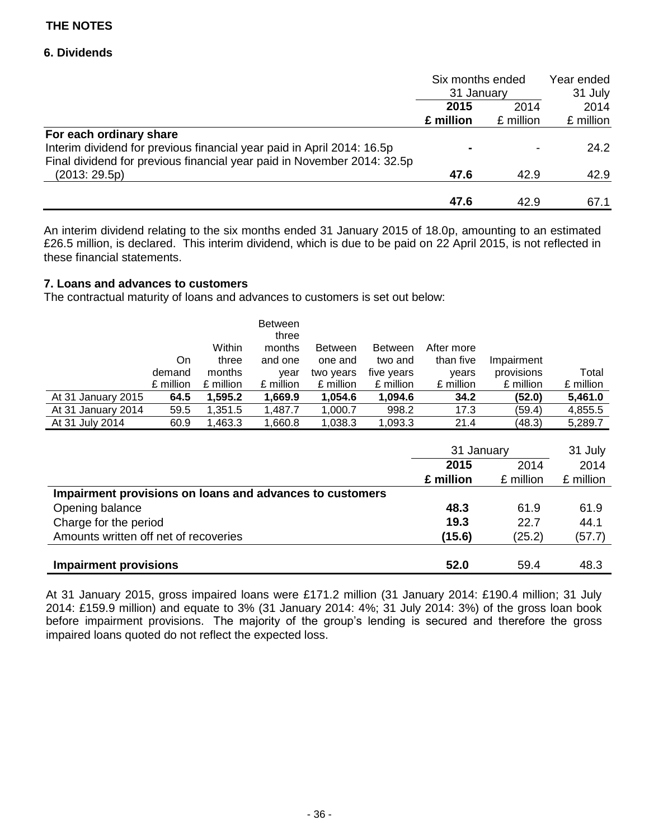### **6. Dividends**

|                                                                         | Six months ended<br>31 January |           | Year ended |  |
|-------------------------------------------------------------------------|--------------------------------|-----------|------------|--|
|                                                                         |                                |           | 31 July    |  |
|                                                                         | 2014<br>2015                   |           | 2014       |  |
|                                                                         | £ million                      | £ million | £ million  |  |
| For each ordinary share                                                 |                                |           |            |  |
| Interim dividend for previous financial year paid in April 2014: 16.5p  |                                |           | 24.2       |  |
| Final dividend for previous financial year paid in November 2014: 32.5p |                                |           |            |  |
| (2013:29.5p)                                                            | 47.6                           | 42.9      | 42.9       |  |
|                                                                         |                                |           |            |  |
|                                                                         | 47.6                           | 42.9      | 67.1       |  |

An interim dividend relating to the six months ended 31 January 2015 of 18.0p, amounting to an estimated £26.5 million, is declared. This interim dividend, which is due to be paid on 22 April 2015, is not reflected in these financial statements.

### **7. Loans and advances to customers**

The contractual maturity of loans and advances to customers is set out below:

|                    |           | Within    | <b>Between</b><br>three<br>months | <b>Between</b> | <b>Between</b> | After more |            |           |
|--------------------|-----------|-----------|-----------------------------------|----------------|----------------|------------|------------|-----------|
|                    | On.       | three     | and one                           | one and        | two and        | than five  | Impairment |           |
|                    |           |           |                                   |                |                |            |            |           |
|                    | demand    | months    | year                              | two years      | five years     | vears      | provisions | Total     |
|                    | £ million | £ million | £ million                         | £ million      | £ million      | £ million  | £ million  | £ million |
| At 31 January 2015 | 64.5      | 1,595.2   | 1,669.9                           | 1,054.6        | 1,094.6        | 34.2       | (52.0)     | 5,461.0   |
| At 31 January 2014 | 59.5      | 1,351.5   | 1,487.7                           | 1,000.7        | 998.2          | 17.3       | (59.4)     | 4,855.5   |
| At 31 July 2014    | 60.9      | 1,463.3   | 1,660.8                           | 1,038.3        | 1,093.3        | 21.4       | (48.3)     | 5,289.7   |
|                    |           |           |                                   |                |                |            |            |           |

|                                                          | 31 January   |           | 31 July   |
|----------------------------------------------------------|--------------|-----------|-----------|
|                                                          | 2015<br>2014 |           | 2014      |
|                                                          | £ million    | £ million | £ million |
| Impairment provisions on loans and advances to customers |              |           |           |
| Opening balance                                          | 48.3         | 61.9      | 61.9      |
| Charge for the period                                    | 19.3         | 22.7      | 44.1      |
| Amounts written off net of recoveries                    | (15.6)       | (25.2)    | (57.7)    |
|                                                          |              |           |           |
| <b>Impairment provisions</b>                             | 52.0         | 59.4      | 48.3      |

At 31 January 2015, gross impaired loans were £171.2 million (31 January 2014: £190.4 million; 31 July 2014: £159.9 million) and equate to 3% (31 January 2014: 4%; 31 July 2014: 3%) of the gross loan book before impairment provisions. The majority of the group's lending is secured and therefore the gross impaired loans quoted do not reflect the expected loss.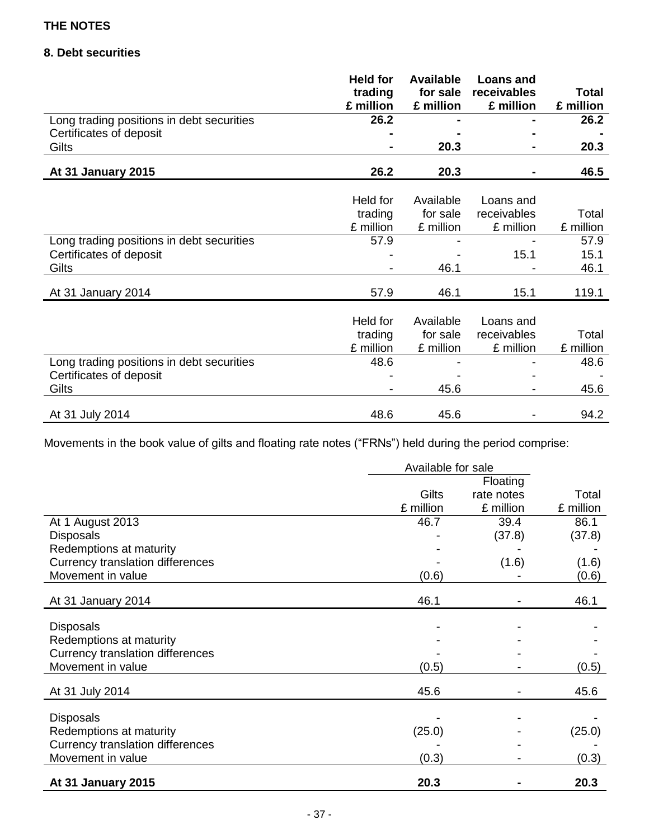## **8. Debt securities**

|                                           | <b>Held for</b><br>trading<br>£ million | <b>Available</b><br>for sale<br>£ million | <b>Loans and</b><br>receivables<br>£ million | <b>Total</b><br>£ million |
|-------------------------------------------|-----------------------------------------|-------------------------------------------|----------------------------------------------|---------------------------|
| Long trading positions in debt securities | 26.2                                    |                                           |                                              | 26.2                      |
| Certificates of deposit                   |                                         |                                           |                                              |                           |
| Gilts                                     |                                         | 20.3                                      |                                              | 20.3                      |
|                                           |                                         |                                           |                                              |                           |
| At 31 January 2015                        | 26.2                                    | 20.3                                      |                                              | 46.5                      |
|                                           |                                         |                                           |                                              |                           |
|                                           | Held for                                | Available                                 | Loans and                                    |                           |
|                                           | trading                                 | for sale                                  | receivables                                  | Total                     |
|                                           | £ million                               | £ million                                 | £ million                                    | £ million                 |
| Long trading positions in debt securities | 57.9                                    |                                           |                                              | 57.9                      |
| Certificates of deposit                   |                                         |                                           | 15.1                                         | 15.1                      |
| Gilts                                     |                                         | 46.1                                      |                                              | 46.1                      |
|                                           |                                         |                                           |                                              |                           |
| At 31 January 2014                        | 57.9                                    | 46.1                                      | 15.1                                         | 119.1                     |
|                                           |                                         |                                           |                                              |                           |
|                                           | Held for                                | Available                                 | Loans and                                    |                           |
|                                           | trading                                 | for sale                                  | receivables                                  | Total                     |
|                                           | £ million                               | £ million                                 | £ million                                    | £ million                 |
| Long trading positions in debt securities | 48.6                                    |                                           |                                              | 48.6                      |
| Certificates of deposit                   |                                         |                                           |                                              |                           |
| Gilts                                     |                                         | 45.6                                      |                                              | 45.6                      |
|                                           |                                         |                                           |                                              |                           |
| At 31 July 2014                           | 48.6                                    | 45.6                                      |                                              | 94.2                      |

Movements in the book value of gilts and floating rate notes ("FRNs") held during the period comprise:

|                                         | Available for sale |            |           |
|-----------------------------------------|--------------------|------------|-----------|
|                                         |                    | Floating   |           |
|                                         | <b>Gilts</b>       | rate notes | Total     |
|                                         | £ million          | £ million  | £ million |
| At 1 August 2013                        | 46.7               | 39.4       | 86.1      |
| <b>Disposals</b>                        |                    | (37.8)     | (37.8)    |
| Redemptions at maturity                 |                    |            |           |
| <b>Currency translation differences</b> |                    | (1.6)      | (1.6)     |
| Movement in value                       | (0.6)              |            | (0.6)     |
| At 31 January 2014                      | 46.1               |            | 46.1      |
|                                         |                    |            |           |
| <b>Disposals</b>                        |                    |            |           |
| Redemptions at maturity                 |                    |            |           |
| <b>Currency translation differences</b> |                    |            |           |
| Movement in value                       | (0.5)              |            | (0.5)     |
| At 31 July 2014                         | 45.6               |            | 45.6      |
|                                         |                    |            |           |
| <b>Disposals</b>                        |                    |            |           |
| Redemptions at maturity                 | (25.0)             |            | (25.0)    |
| <b>Currency translation differences</b> |                    |            |           |
| Movement in value                       | (0.3)              |            | (0.3)     |
| At 31 January 2015                      | 20.3               |            | 20.3      |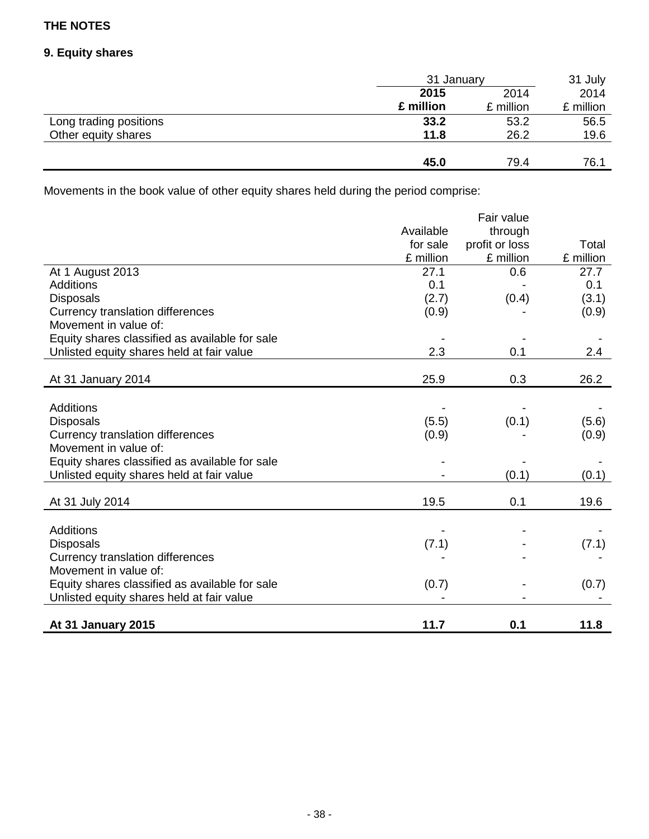## **9. Equity shares**

|                        | 31 January |           | 31 July   |
|------------------------|------------|-----------|-----------|
|                        | 2015       | 2014      | 2014      |
|                        | £ million  | £ million | £ million |
| Long trading positions | 33.2       | 53.2      | 56.5      |
| Other equity shares    | 11.8       | 26.2      | 19.6      |
|                        |            |           |           |
|                        | 45.0       | 79.4      | 76.1      |

Movements in the book value of other equity shares held during the period comprise:

|                                                |           | Fair value     |           |
|------------------------------------------------|-----------|----------------|-----------|
|                                                | Available | through        |           |
|                                                | for sale  | profit or loss | Total     |
|                                                | £ million | £ million      | £ million |
| At 1 August 2013                               | 27.1      | 0.6            | 27.7      |
| <b>Additions</b>                               | 0.1       |                | 0.1       |
| <b>Disposals</b>                               | (2.7)     | (0.4)          | (3.1)     |
| <b>Currency translation differences</b>        | (0.9)     |                | (0.9)     |
| Movement in value of:                          |           |                |           |
| Equity shares classified as available for sale |           |                |           |
| Unlisted equity shares held at fair value      | 2.3       | 0.1            | 2.4       |
|                                                |           |                |           |
| At 31 January 2014                             | 25.9      | 0.3            | 26.2      |
|                                                |           |                |           |
| Additions                                      |           |                |           |
| <b>Disposals</b>                               | (5.5)     | (0.1)          | (5.6)     |
| Currency translation differences               | (0.9)     |                | (0.9)     |
| Movement in value of:                          |           |                |           |
| Equity shares classified as available for sale |           |                |           |
| Unlisted equity shares held at fair value      |           | (0.1)          | (0.1)     |
|                                                |           |                |           |
| At 31 July 2014                                | 19.5      | 0.1            | 19.6      |
|                                                |           |                |           |
| <b>Additions</b>                               |           |                |           |
| <b>Disposals</b>                               | (7.1)     |                | (7.1)     |
| <b>Currency translation differences</b>        |           |                |           |
| Movement in value of:                          |           |                |           |
| Equity shares classified as available for sale | (0.7)     |                | (0.7)     |
| Unlisted equity shares held at fair value      |           |                |           |
|                                                |           |                |           |
| At 31 January 2015                             | 11.7      | 0.1            | 11.8      |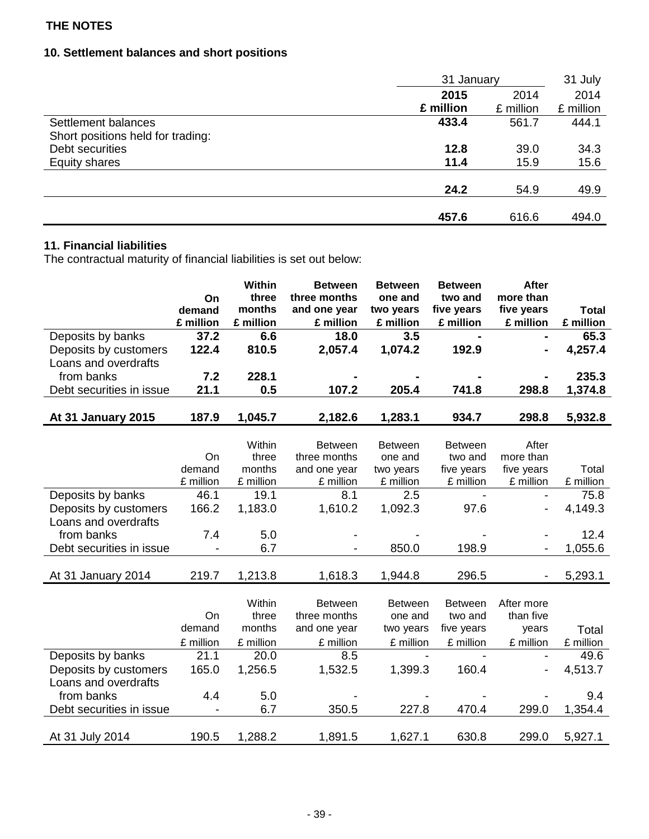## **10. Settlement balances and short positions**

|                                   | 31 January |           | 31 July   |
|-----------------------------------|------------|-----------|-----------|
|                                   | 2015       | 2014      | 2014      |
|                                   | £ million  | £ million | £ million |
| Settlement balances               | 433.4      | 561.7     | 444.1     |
| Short positions held for trading: |            |           |           |
| Debt securities                   | 12.8       | 39.0      | 34.3      |
| <b>Equity shares</b>              | 11.4       | 15.9      | 15.6      |
|                                   |            |           |           |
|                                   | 24.2       | 54.9      | 49.9      |
|                                   |            |           |           |
|                                   | 457.6      | 616.6     | 494.0     |

## **11. Financial liabilities**

The contractual maturity of financial liabilities is set out below:

|                          |           | <b>Within</b> | <b>Between</b>                 | <b>Between</b>            | <b>Between</b>            | <b>After</b>             |              |
|--------------------------|-----------|---------------|--------------------------------|---------------------------|---------------------------|--------------------------|--------------|
|                          | On        | three         | three months                   | one and                   | two and                   | more than                |              |
|                          | demand    | months        | and one year                   | two years                 | five years                | five years               | <b>Total</b> |
|                          | £ million | £ million     | £ million                      | £ million                 | £ million                 | £ million                | £ million    |
| Deposits by banks        | 37.2      | 6.6           | 18.0                           | 3.5                       |                           |                          | 65.3         |
| Deposits by customers    | 122.4     | 810.5         | 2,057.4                        | 1,074.2                   | 192.9                     |                          | 4,257.4      |
| Loans and overdrafts     |           |               |                                |                           |                           |                          |              |
| from banks               | 7.2       | 228.1         |                                |                           |                           |                          | 235.3        |
| Debt securities in issue | 21.1      | 0.5           | 107.2                          | 205.4                     | 741.8                     | 298.8                    | 1,374.8      |
| At 31 January 2015       | 187.9     | 1,045.7       | 2,182.6                        | 1,283.1                   | 934.7                     | 298.8                    | 5,932.8      |
|                          |           |               |                                |                           |                           |                          |              |
|                          |           | Within        | <b>Between</b>                 | <b>Between</b>            | <b>Between</b>            | After                    |              |
|                          | On        | three         | three months                   | one and                   | two and                   | more than                |              |
|                          | demand    | months        | and one year                   | two years                 | five years                | five years               | Total        |
|                          | £ million | £ million     | £ million                      | £ million                 | £ million                 | £ million                | £ million    |
| Deposits by banks        | 46.1      | 19.1          | 8.1                            | 2.5                       |                           |                          | 75.8         |
| Deposits by customers    | 166.2     | 1,183.0       | 1,610.2                        | 1,092.3                   | 97.6                      | -                        | 4,149.3      |
| Loans and overdrafts     |           |               |                                |                           |                           |                          |              |
| from banks               | 7.4       | 5.0           |                                |                           |                           |                          | 12.4         |
| Debt securities in issue |           | 6.7           |                                | 850.0                     | 198.9                     |                          | 1,055.6      |
|                          |           |               |                                |                           |                           |                          |              |
| At 31 January 2014       | 219.7     | 1,213.8       | 1,618.3                        | 1,944.8                   | 296.5                     | $\overline{\phantom{0}}$ | 5,293.1      |
|                          |           | Within        |                                |                           |                           |                          |              |
|                          | On        | three         | <b>Between</b><br>three months | <b>Between</b><br>one and | <b>Between</b><br>two and | After more<br>than five  |              |
|                          | demand    | months        | and one year                   | two years                 | five years                | years                    | Total        |
|                          | £ million | £ million     | £ million                      | £ million                 | £ million                 | £ million                | £ million    |
| Deposits by banks        | 21.1      | 20.0          | 8.5                            |                           |                           |                          | 49.6         |
| Deposits by customers    | 165.0     | 1,256.5       | 1,532.5                        | 1,399.3                   | 160.4                     |                          | 4,513.7      |
| Loans and overdrafts     |           |               |                                |                           |                           |                          |              |
| from banks               | 4.4       | 5.0           |                                |                           |                           |                          | 9.4          |
| Debt securities in issue |           | 6.7           | 350.5                          | 227.8                     | 470.4                     | 299.0                    | 1,354.4      |
|                          |           |               |                                |                           |                           |                          |              |
| At 31 July 2014          | 190.5     | 1,288.2       | 1,891.5                        | 1,627.1                   | 630.8                     | 299.0                    | 5,927.1      |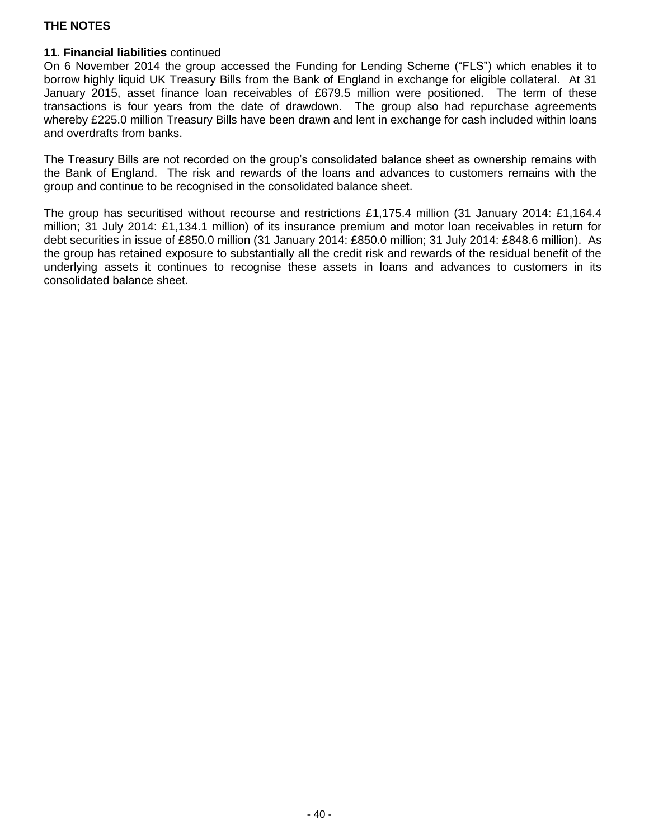## **11. Financial liabilities** continued

On 6 November 2014 the group accessed the Funding for Lending Scheme ("FLS") which enables it to borrow highly liquid UK Treasury Bills from the Bank of England in exchange for eligible collateral. At 31 January 2015, asset finance loan receivables of £679.5 million were positioned. The term of these transactions is four years from the date of drawdown. The group also had repurchase agreements whereby £225.0 million Treasury Bills have been drawn and lent in exchange for cash included within loans and overdrafts from banks.

The Treasury Bills are not recorded on the group's consolidated balance sheet as ownership remains with the Bank of England. The risk and rewards of the loans and advances to customers remains with the group and continue to be recognised in the consolidated balance sheet.

The group has securitised without recourse and restrictions £1,175.4 million (31 January 2014: £1,164.4 million; 31 July 2014: £1,134.1 million) of its insurance premium and motor loan receivables in return for debt securities in issue of £850.0 million (31 January 2014: £850.0 million; 31 July 2014: £848.6 million). As the group has retained exposure to substantially all the credit risk and rewards of the residual benefit of the underlying assets it continues to recognise these assets in loans and advances to customers in its consolidated balance sheet.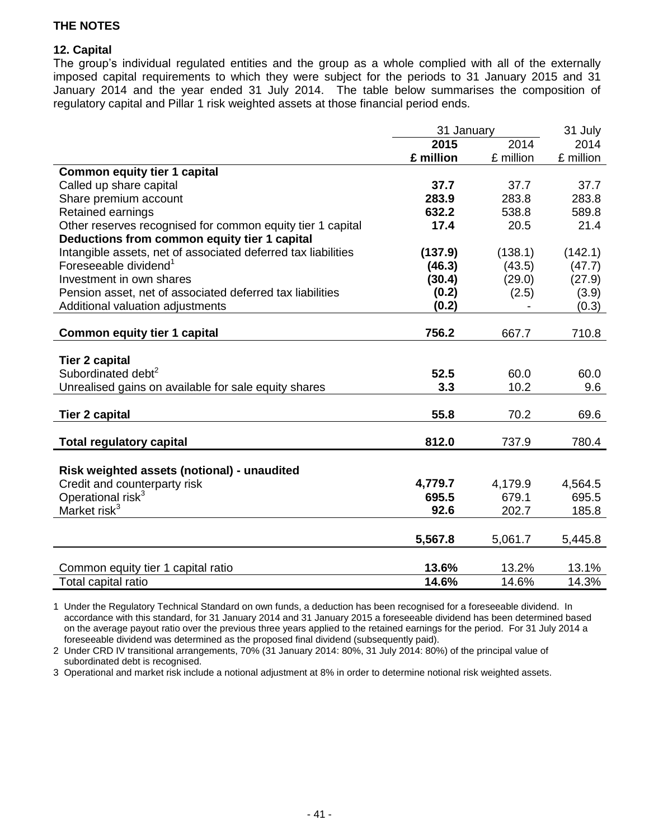## **12. Capital**

The group's individual regulated entities and the group as a whole complied with all of the externally imposed capital requirements to which they were subject for the periods to 31 January 2015 and 31 January 2014 and the year ended 31 July 2014. The table below summarises the composition of regulatory capital and Pillar 1 risk weighted assets at those financial period ends.

|                                                               | 31 January |           | 31 July   |
|---------------------------------------------------------------|------------|-----------|-----------|
|                                                               | 2015       | 2014      | 2014      |
|                                                               | £ million  | £ million | £ million |
| <b>Common equity tier 1 capital</b>                           |            |           |           |
| Called up share capital                                       | 37.7       | 37.7      | 37.7      |
| Share premium account                                         | 283.9      | 283.8     | 283.8     |
| Retained earnings                                             | 632.2      | 538.8     | 589.8     |
| Other reserves recognised for common equity tier 1 capital    | 17.4       | 20.5      | 21.4      |
| Deductions from common equity tier 1 capital                  |            |           |           |
| Intangible assets, net of associated deferred tax liabilities | (137.9)    | (138.1)   | (142.1)   |
| Foreseeable dividend <sup>1</sup>                             | (46.3)     | (43.5)    | (47.7)    |
| Investment in own shares                                      | (30.4)     | (29.0)    | (27.9)    |
| Pension asset, net of associated deferred tax liabilities     | (0.2)      | (2.5)     | (3.9)     |
| Additional valuation adjustments                              | (0.2)      |           | (0.3)     |
|                                                               |            |           |           |
| <b>Common equity tier 1 capital</b>                           | 756.2      | 667.7     | 710.8     |
|                                                               |            |           |           |
| <b>Tier 2 capital</b>                                         |            |           |           |
| Subordinated debt <sup>2</sup>                                | 52.5       | 60.0      | 60.0      |
| Unrealised gains on available for sale equity shares          | 3.3        | 10.2      | 9.6       |
|                                                               |            |           |           |
| <b>Tier 2 capital</b>                                         | 55.8       | 70.2      | 69.6      |
|                                                               |            |           |           |
| <b>Total regulatory capital</b>                               | 812.0      | 737.9     | 780.4     |
|                                                               |            |           |           |
| Risk weighted assets (notional) - unaudited                   |            |           |           |
| Credit and counterparty risk                                  | 4,779.7    | 4,179.9   | 4,564.5   |
| Operational risk <sup>3</sup>                                 | 695.5      | 679.1     | 695.5     |
| Market risk <sup>3</sup>                                      | 92.6       | 202.7     | 185.8     |
|                                                               |            |           |           |
|                                                               | 5,567.8    | 5,061.7   | 5,445.8   |
|                                                               |            |           |           |
| Common equity tier 1 capital ratio                            | 13.6%      | 13.2%     | 13.1%     |
| Total capital ratio                                           | 14.6%      | 14.6%     | 14.3%     |

1 Under the Regulatory Technical Standard on own funds, a deduction has been recognised for a foreseeable dividend. In accordance with this standard, for 31 January 2014 and 31 January 2015 a foreseeable dividend has been determined based on the average payout ratio over the previous three years applied to the retained earnings for the period. For 31 July 2014 a foreseeable dividend was determined as the proposed final dividend (subsequently paid).

2 Under CRD IV transitional arrangements, 70% (31 January 2014: 80%, 31 July 2014: 80%) of the principal value of subordinated debt is recognised.

3 Operational and market risk include a notional adjustment at 8% in order to determine notional risk weighted assets.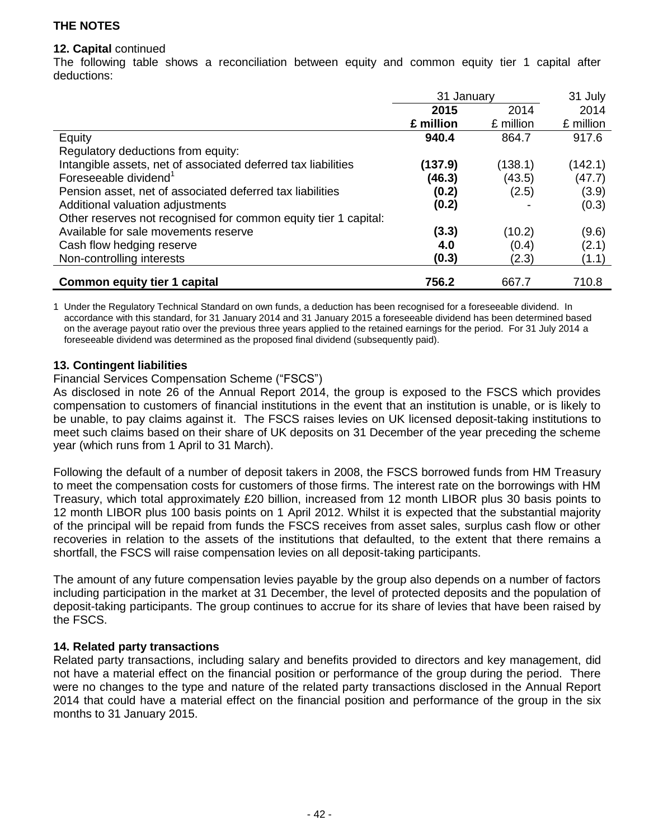### **12. Capital** continued

The following table shows a reconciliation between equity and common equity tier 1 capital after deductions:

|                                                                 | 31 January |           | 31 July   |
|-----------------------------------------------------------------|------------|-----------|-----------|
|                                                                 | 2015       | 2014      | 2014      |
|                                                                 | £ million  | £ million | £ million |
| Equity                                                          | 940.4      | 864.7     | 917.6     |
| Regulatory deductions from equity:                              |            |           |           |
| Intangible assets, net of associated deferred tax liabilities   | (137.9)    | (138.1)   | (142.1)   |
| Foreseeable dividend <sup>1</sup>                               | (46.3)     | (43.5)    | (47.7)    |
| Pension asset, net of associated deferred tax liabilities       | (0.2)      | (2.5)     | (3.9)     |
| Additional valuation adjustments                                | (0.2)      |           | (0.3)     |
| Other reserves not recognised for common equity tier 1 capital: |            |           |           |
| Available for sale movements reserve                            | (3.3)      | (10.2)    | (9.6)     |
| Cash flow hedging reserve                                       | 4.0        | (0.4)     | (2.1)     |
| Non-controlling interests                                       | (0.3)      | (2.3)     | (1.1)     |
| <b>Common equity tier 1 capital</b>                             | 756.2      | 667.7     | 710.8     |

1 Under the Regulatory Technical Standard on own funds, a deduction has been recognised for a foreseeable dividend. In accordance with this standard, for 31 January 2014 and 31 January 2015 a foreseeable dividend has been determined based on the average payout ratio over the previous three years applied to the retained earnings for the period. For 31 July 2014 a foreseeable dividend was determined as the proposed final dividend (subsequently paid).

### **13. Contingent liabilities**

### Financial Services Compensation Scheme ("FSCS")

As disclosed in note 26 of the Annual Report 2014, the group is exposed to the FSCS which provides compensation to customers of financial institutions in the event that an institution is unable, or is likely to be unable, to pay claims against it. The FSCS raises levies on UK licensed deposit-taking institutions to meet such claims based on their share of UK deposits on 31 December of the year preceding the scheme year (which runs from 1 April to 31 March).

Following the default of a number of deposit takers in 2008, the FSCS borrowed funds from HM Treasury to meet the compensation costs for customers of those firms. The interest rate on the borrowings with HM Treasury, which total approximately £20 billion, increased from 12 month LIBOR plus 30 basis points to 12 month LIBOR plus 100 basis points on 1 April 2012. Whilst it is expected that the substantial majority of the principal will be repaid from funds the FSCS receives from asset sales, surplus cash flow or other recoveries in relation to the assets of the institutions that defaulted, to the extent that there remains a shortfall, the FSCS will raise compensation levies on all deposit-taking participants.

The amount of any future compensation levies payable by the group also depends on a number of factors including participation in the market at 31 December, the level of protected deposits and the population of deposit-taking participants. The group continues to accrue for its share of levies that have been raised by the FSCS.

#### **14. Related party transactions**

Related party transactions, including salary and benefits provided to directors and key management, did not have a material effect on the financial position or performance of the group during the period. There were no changes to the type and nature of the related party transactions disclosed in the Annual Report 2014 that could have a material effect on the financial position and performance of the group in the six months to 31 January 2015.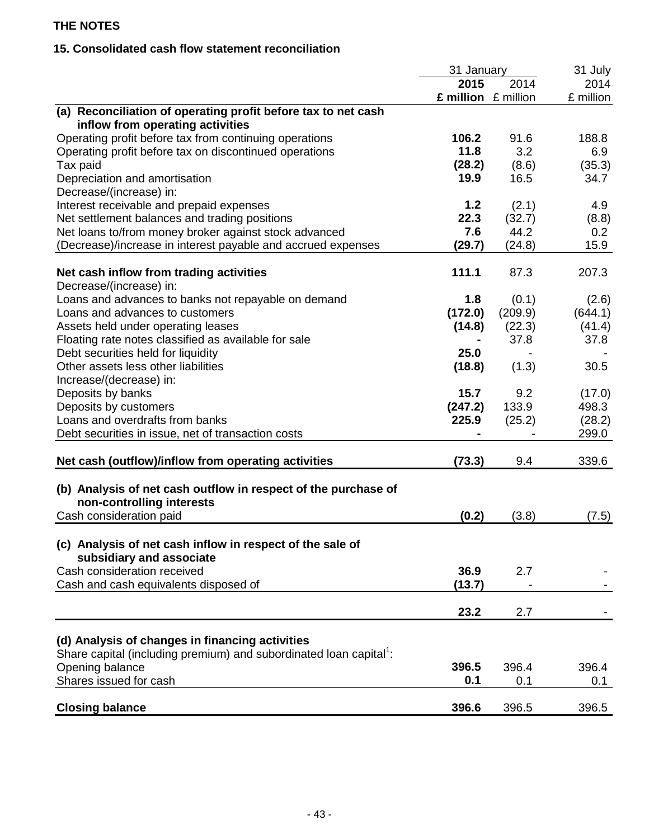# **15. Consolidated cash flow statement reconciliation**

|                                                                                | 31 January          |         | 31 July   |
|--------------------------------------------------------------------------------|---------------------|---------|-----------|
|                                                                                | 2015                | 2014    | 2014      |
|                                                                                | £ million £ million |         | £ million |
| (a) Reconciliation of operating profit before tax to net cash                  |                     |         |           |
| inflow from operating activities                                               |                     |         |           |
| Operating profit before tax from continuing operations                         | 106.2               | 91.6    | 188.8     |
| Operating profit before tax on discontinued operations                         | 11.8                | 3.2     | 6.9       |
| Tax paid                                                                       | (28.2)              | (8.6)   | (35.3)    |
| Depreciation and amortisation                                                  | 19.9                | 16.5    | 34.7      |
| Decrease/(increase) in:                                                        |                     |         |           |
| Interest receivable and prepaid expenses                                       | 1.2                 | (2.1)   | 4.9       |
| Net settlement balances and trading positions                                  | 22.3                | (32.7)  | (8.8)     |
| Net loans to/from money broker against stock advanced                          | 7.6                 | 44.2    | 0.2       |
| (Decrease)/increase in interest payable and accrued expenses                   | (29.7)              | (24.8)  | 15.9      |
|                                                                                |                     |         |           |
| Net cash inflow from trading activities                                        | 111.1               | 87.3    | 207.3     |
| Decrease/(increase) in:                                                        |                     |         |           |
| Loans and advances to banks not repayable on demand                            | 1.8                 | (0.1)   | (2.6)     |
| Loans and advances to customers                                                | (172.0)             | (209.9) | (644.1)   |
| Assets held under operating leases                                             | (14.8)              | (22.3)  | (41.4)    |
| Floating rate notes classified as available for sale                           |                     | 37.8    | 37.8      |
| Debt securities held for liquidity                                             | 25.0                |         |           |
| Other assets less other liabilities                                            | (18.8)              | (1.3)   | 30.5      |
| Increase/(decrease) in:                                                        |                     |         |           |
| Deposits by banks                                                              | 15.7                | 9.2     | (17.0)    |
| Deposits by customers                                                          | (247.2)             | 133.9   | 498.3     |
| Loans and overdrafts from banks                                                | 225.9               | (25.2)  | (28.2)    |
| Debt securities in issue, net of transaction costs                             |                     |         | 299.0     |
|                                                                                |                     |         |           |
| Net cash (outflow)/inflow from operating activities                            | (73.3)              | 9.4     | 339.6     |
|                                                                                |                     |         |           |
| (b) Analysis of net cash outflow in respect of the purchase of                 |                     |         |           |
| non-controlling interests                                                      |                     |         |           |
| Cash consideration paid                                                        | (0.2)               | (3.8)   | (7.5)     |
|                                                                                |                     |         |           |
| (c) Analysis of net cash inflow in respect of the sale of                      |                     |         |           |
| subsidiary and associate                                                       |                     |         |           |
| Cash consideration received                                                    | 36.9                | 2.7     |           |
| Cash and cash equivalents disposed of                                          | (13.7)              |         |           |
|                                                                                |                     |         |           |
|                                                                                | 23.2                | 2.7     |           |
|                                                                                |                     |         |           |
| (d) Analysis of changes in financing activities                                |                     |         |           |
| Share capital (including premium) and subordinated loan capital <sup>1</sup> : |                     |         |           |
| Opening balance                                                                | 396.5               | 396.4   | 396.4     |
| Shares issued for cash                                                         | 0.1                 | 0.1     | 0.1       |
|                                                                                |                     |         |           |
| <b>Closing balance</b>                                                         | 396.6               | 396.5   | 396.5     |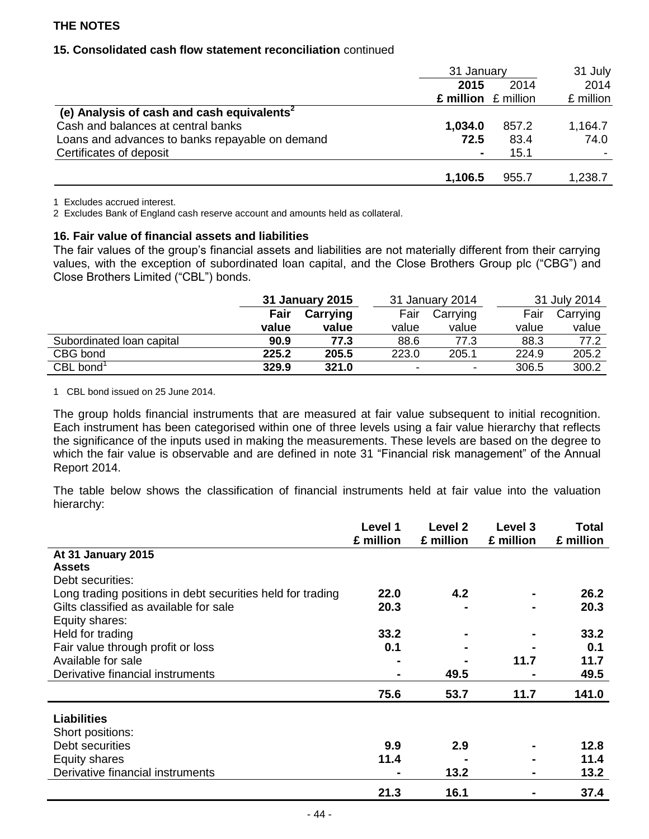## **15. Consolidated cash flow statement reconciliation** continued

|                                                        | 31 January              |       | 31 July   |
|--------------------------------------------------------|-------------------------|-------|-----------|
|                                                        | 2015                    | 2014  | 2014      |
|                                                        | $£$ million $£$ million |       | £ million |
| (e) Analysis of cash and cash equivalents <sup>2</sup> |                         |       |           |
| Cash and balances at central banks                     | 1,034.0                 | 857.2 | 1,164.7   |
| Loans and advances to banks repayable on demand        | 72.5                    | 83.4  | 74.0      |
| Certificates of deposit                                |                         | 15.1  |           |
|                                                        |                         |       |           |
|                                                        | 1,106.5                 | 955.7 | 1,238.7   |

1 Excludes accrued interest.

2 Excludes Bank of England cash reserve account and amounts held as collateral.

#### **16. Fair value of financial assets and liabilities**

The fair values of the group's financial assets and liabilities are not materially different from their carrying values, with the exception of subordinated loan capital, and the Close Brothers Group plc ("CBG") and Close Brothers Limited ("CBL") bonds.

|                           |       | 31 January 2015 |                          | 31 January 2014          |       | 31 July 2014 |
|---------------------------|-------|-----------------|--------------------------|--------------------------|-------|--------------|
|                           | Fair  | Carrying        | Fair                     | Carrying                 | Fair  | Carrying     |
|                           | value | value           | value                    | value                    | value | value        |
| Subordinated Ioan capital | 90.9  | 77.3            | 88.6                     | 77.3                     | 88.3  | 77.2         |
| CBG bond                  | 225.2 | 205.5           | 223.0                    | 205.1                    | 224.9 | 205.2        |
| $CBL$ bond <sup>1</sup>   | 329.9 | 321.0           | $\overline{\phantom{0}}$ | $\overline{\phantom{0}}$ | 306.5 | 300.2        |

1 CBL bond issued on 25 June 2014.

The group holds financial instruments that are measured at fair value subsequent to initial recognition. Each instrument has been categorised within one of three levels using a fair value hierarchy that reflects the significance of the inputs used in making the measurements. These levels are based on the degree to which the fair value is observable and are defined in note 31 "Financial risk management" of the Annual Report 2014.

The table below shows the classification of financial instruments held at fair value into the valuation hierarchy:

|                                                            | Level 1   | Level 2   | Level 3   | <b>Total</b> |
|------------------------------------------------------------|-----------|-----------|-----------|--------------|
|                                                            | £ million | £ million | £ million | £ million    |
| At 31 January 2015                                         |           |           |           |              |
| <b>Assets</b>                                              |           |           |           |              |
| Debt securities:                                           |           |           |           |              |
| Long trading positions in debt securities held for trading | 22.0      | 4.2       |           | 26.2         |
| Gilts classified as available for sale                     | 20.3      |           |           | 20.3         |
| Equity shares:                                             |           |           |           |              |
| Held for trading                                           | 33.2      |           |           | 33.2         |
| Fair value through profit or loss                          | 0.1       |           |           | 0.1          |
| Available for sale                                         |           |           | 11.7      | 11.7         |
| Derivative financial instruments                           | ۰         | 49.5      |           | 49.5         |
|                                                            | 75.6      | 53.7      | 11.7      | 141.0        |
| <b>Liabilities</b>                                         |           |           |           |              |
| Short positions:                                           |           |           |           |              |
| Debt securities                                            | 9.9       | 2.9       |           | 12.8         |
| Equity shares                                              | 11.4      |           |           | 11.4         |
| Derivative financial instruments                           |           | 13.2      |           | 13.2         |
|                                                            | 21.3      | 16.1      |           | 37.4         |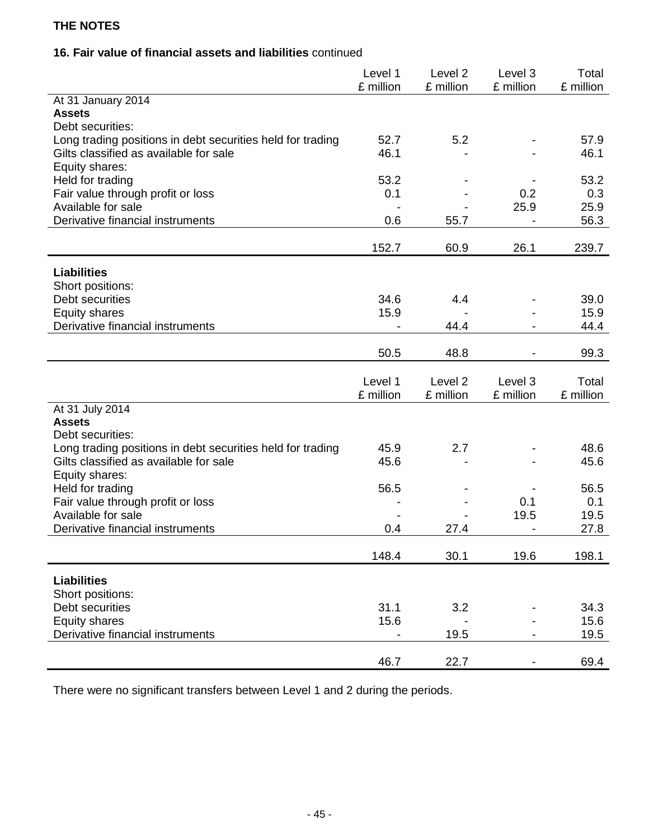# **16. Fair value of financial assets and liabilities** continued

|                                                            | Level 1<br>£ million     | Level <sub>2</sub><br>£ million | Level 3<br>£ million         | Total<br>£ million |
|------------------------------------------------------------|--------------------------|---------------------------------|------------------------------|--------------------|
| At 31 January 2014                                         |                          |                                 |                              |                    |
| <b>Assets</b>                                              |                          |                                 |                              |                    |
| Debt securities:                                           |                          |                                 |                              |                    |
| Long trading positions in debt securities held for trading | 52.7                     | 5.2                             |                              | 57.9               |
| Gilts classified as available for sale                     | 46.1                     |                                 |                              | 46.1               |
| Equity shares:<br>Held for trading                         | 53.2                     |                                 |                              | 53.2               |
| Fair value through profit or loss                          | 0.1                      |                                 | 0.2                          | 0.3                |
| Available for sale                                         |                          |                                 | 25.9                         | 25.9               |
| Derivative financial instruments                           | 0.6                      | 55.7                            |                              | 56.3               |
|                                                            |                          |                                 |                              |                    |
|                                                            | 152.7                    | 60.9                            | 26.1                         | 239.7              |
| <b>Liabilities</b>                                         |                          |                                 |                              |                    |
| Short positions:                                           |                          |                                 |                              |                    |
| Debt securities                                            | 34.6                     | 4.4                             |                              | 39.0               |
| <b>Equity shares</b>                                       | 15.9                     |                                 |                              | 15.9               |
| Derivative financial instruments                           | $\overline{\phantom{a}}$ | 44.4                            | $\overline{\phantom{a}}$     | 44.4               |
|                                                            |                          |                                 |                              |                    |
|                                                            | 50.5                     | 48.8                            |                              | 99.3               |
|                                                            |                          |                                 |                              |                    |
|                                                            |                          |                                 |                              |                    |
|                                                            | Level 1                  | Level <sub>2</sub>              | Level 3                      | Total              |
|                                                            | £ million                | £ million                       | £ million                    | £ million          |
| At 31 July 2014<br><b>Assets</b>                           |                          |                                 |                              |                    |
| Debt securities:                                           |                          |                                 |                              |                    |
| Long trading positions in debt securities held for trading | 45.9                     | 2.7                             |                              | 48.6               |
| Gilts classified as available for sale                     | 45.6                     |                                 |                              | 45.6               |
| Equity shares:                                             |                          |                                 |                              |                    |
| Held for trading                                           | 56.5                     |                                 |                              | 56.5               |
| Fair value through profit or loss                          |                          |                                 | 0.1                          | 0.1                |
| Available for sale                                         |                          |                                 | 19.5                         | 19.5               |
| Derivative financial instruments                           | 0.4                      | 27.4                            | $\qquad \qquad \blacksquare$ | 27.8               |
|                                                            | 148.4                    | 30.1                            | 19.6                         | 198.1              |
|                                                            |                          |                                 |                              |                    |
| <b>Liabilities</b>                                         |                          |                                 |                              |                    |
| Short positions:                                           |                          |                                 |                              |                    |
| Debt securities                                            | 31.1                     | 3.2                             |                              | 34.3               |
| <b>Equity shares</b>                                       | 15.6                     |                                 |                              | 15.6               |
| Derivative financial instruments                           |                          | 19.5                            |                              | 19.5               |

There were no significant transfers between Level 1 and 2 during the periods.